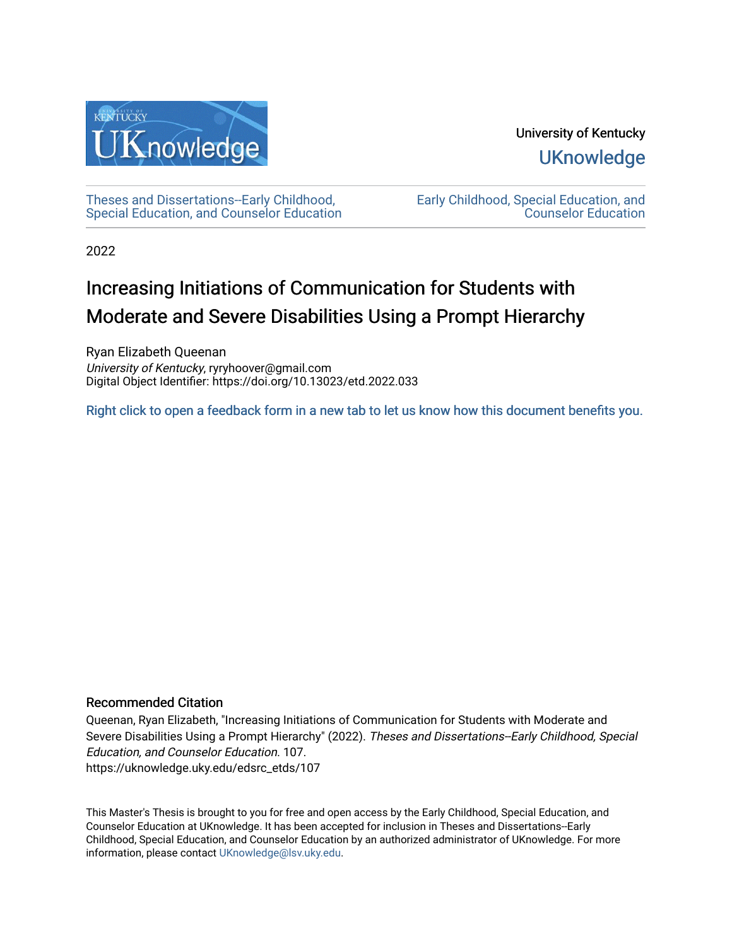

# University of Kentucky **UKnowledge**

[Theses and Dissertations--Early Childhood,](https://uknowledge.uky.edu/edsrc_etds)  [Special Education, and Counselor Education](https://uknowledge.uky.edu/edsrc_etds) [Early Childhood, Special Education, and](https://uknowledge.uky.edu/edsrc)  [Counselor Education](https://uknowledge.uky.edu/edsrc) 

2022

# Increasing Initiations of Communication for Students with Moderate and Severe Disabilities Using a Prompt Hierarchy

Ryan Elizabeth Queenan University of Kentucky, ryryhoover@gmail.com Digital Object Identifier: https://doi.org/10.13023/etd.2022.033

[Right click to open a feedback form in a new tab to let us know how this document benefits you.](https://uky.az1.qualtrics.com/jfe/form/SV_9mq8fx2GnONRfz7)

# Recommended Citation

Queenan, Ryan Elizabeth, "Increasing Initiations of Communication for Students with Moderate and Severe Disabilities Using a Prompt Hierarchy" (2022). Theses and Dissertations--Early Childhood, Special Education, and Counselor Education. 107. https://uknowledge.uky.edu/edsrc\_etds/107

This Master's Thesis is brought to you for free and open access by the Early Childhood, Special Education, and Counselor Education at UKnowledge. It has been accepted for inclusion in Theses and Dissertations--Early Childhood, Special Education, and Counselor Education by an authorized administrator of UKnowledge. For more information, please contact [UKnowledge@lsv.uky.edu](mailto:UKnowledge@lsv.uky.edu).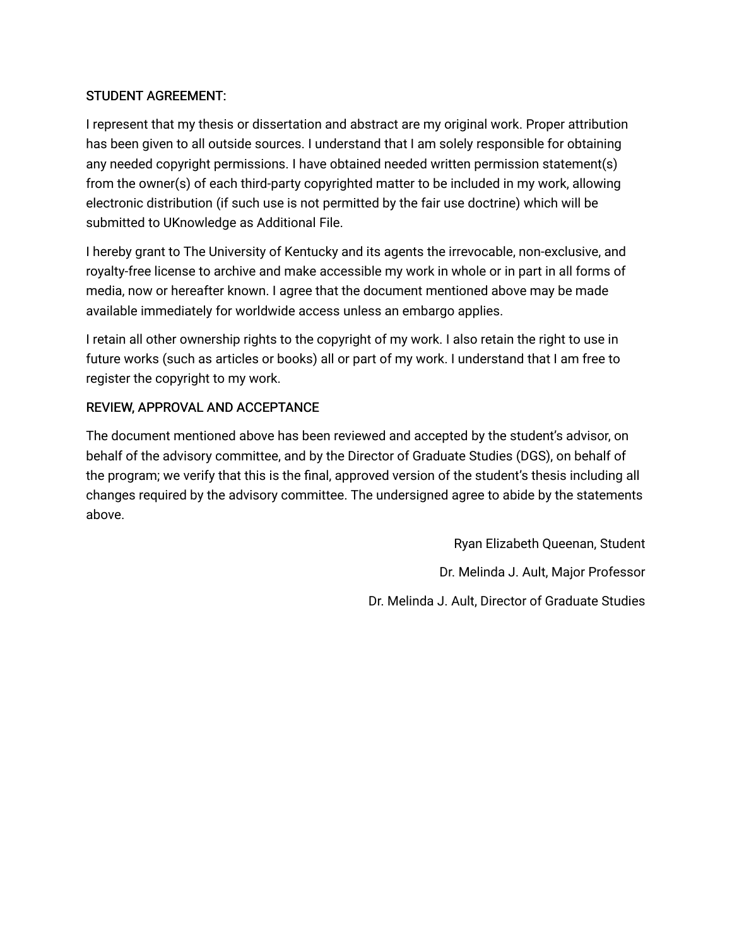# STUDENT AGREEMENT:

I represent that my thesis or dissertation and abstract are my original work. Proper attribution has been given to all outside sources. I understand that I am solely responsible for obtaining any needed copyright permissions. I have obtained needed written permission statement(s) from the owner(s) of each third-party copyrighted matter to be included in my work, allowing electronic distribution (if such use is not permitted by the fair use doctrine) which will be submitted to UKnowledge as Additional File.

I hereby grant to The University of Kentucky and its agents the irrevocable, non-exclusive, and royalty-free license to archive and make accessible my work in whole or in part in all forms of media, now or hereafter known. I agree that the document mentioned above may be made available immediately for worldwide access unless an embargo applies.

I retain all other ownership rights to the copyright of my work. I also retain the right to use in future works (such as articles or books) all or part of my work. I understand that I am free to register the copyright to my work.

# REVIEW, APPROVAL AND ACCEPTANCE

The document mentioned above has been reviewed and accepted by the student's advisor, on behalf of the advisory committee, and by the Director of Graduate Studies (DGS), on behalf of the program; we verify that this is the final, approved version of the student's thesis including all changes required by the advisory committee. The undersigned agree to abide by the statements above.

> Ryan Elizabeth Queenan, Student Dr. Melinda J. Ault, Major Professor Dr. Melinda J. Ault, Director of Graduate Studies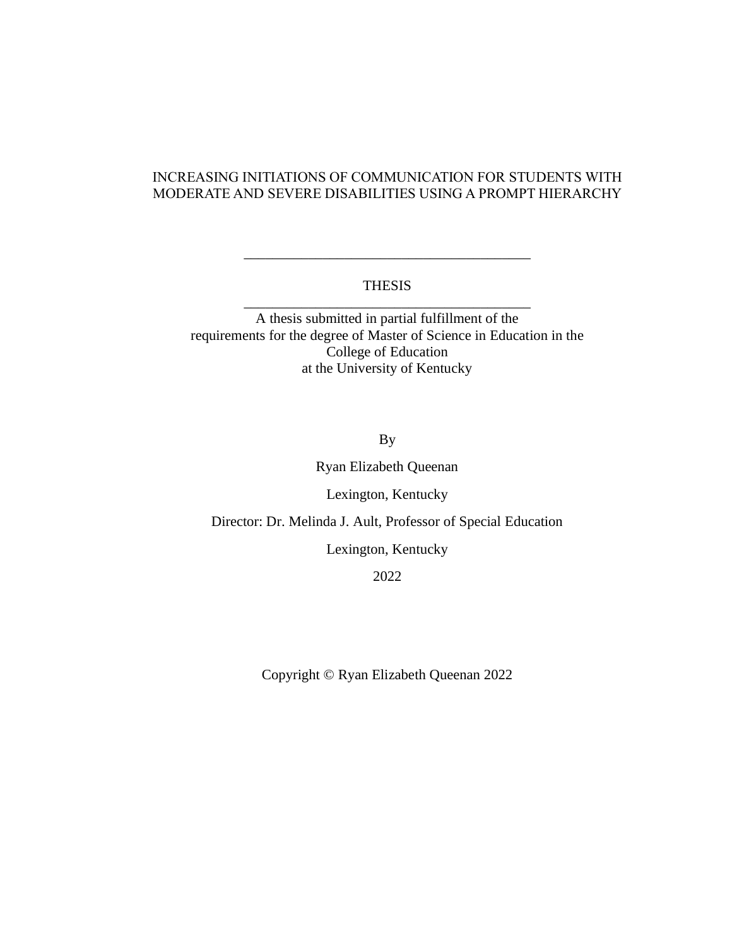# INCREASING INITIATIONS OF COMMUNICATION FOR STUDENTS WITH MODERATE AND SEVERE DISABILITIES USING A PROMPT HIERARCHY

## THESIS \_\_\_\_\_\_\_\_\_\_\_\_\_\_\_\_\_\_\_\_\_\_\_\_\_\_\_\_\_\_\_\_\_\_\_\_\_\_\_\_

\_\_\_\_\_\_\_\_\_\_\_\_\_\_\_\_\_\_\_\_\_\_\_\_\_\_\_\_\_\_\_\_\_\_\_\_\_\_\_\_

A thesis submitted in partial fulfillment of the requirements for the degree of Master of Science in Education in the College of Education at the University of Kentucky

By

Ryan Elizabeth Queenan

Lexington, Kentucky

Director: Dr. Melinda J. Ault, Professor of Special Education

Lexington, Kentucky

2022

Copyright © Ryan Elizabeth Queenan 2022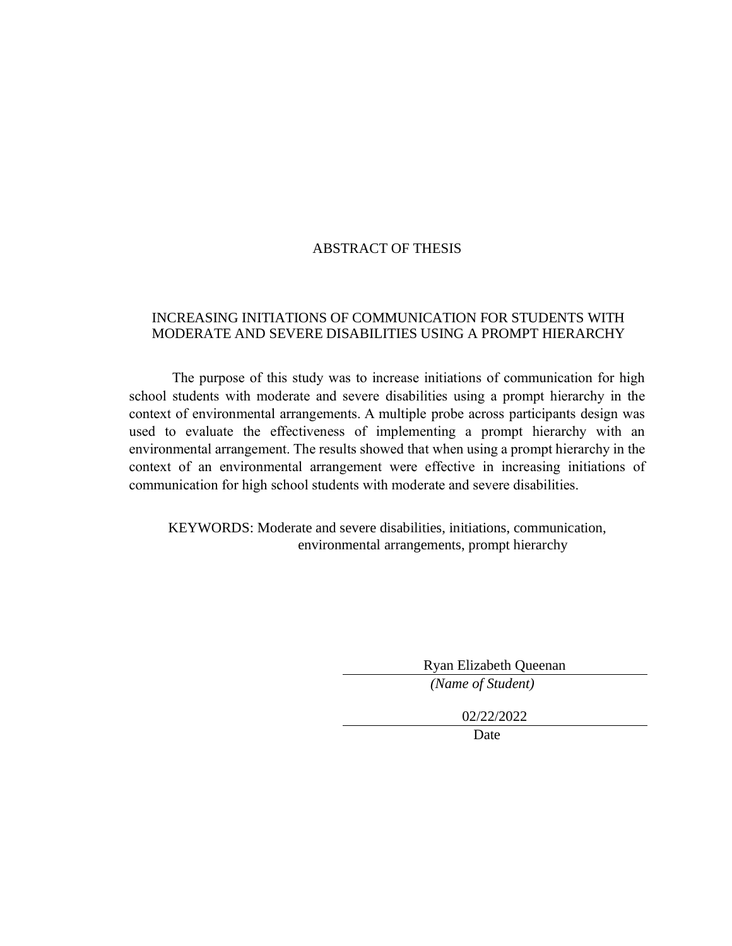# ABSTRACT OF THESIS

# INCREASING INITIATIONS OF COMMUNICATION FOR STUDENTS WITH MODERATE AND SEVERE DISABILITIES USING A PROMPT HIERARCHY

The purpose of this study was to increase initiations of communication for high school students with moderate and severe disabilities using a prompt hierarchy in the context of environmental arrangements. A multiple probe across participants design was used to evaluate the effectiveness of implementing a prompt hierarchy with an environmental arrangement. The results showed that when using a prompt hierarchy in the context of an environmental arrangement were effective in increasing initiations of communication for high school students with moderate and severe disabilities.

KEYWORDS: Moderate and severe disabilities, initiations, communication, environmental arrangements, prompt hierarchy

Ryan Elizabeth Queenan

*(Name of Student)*

02/22/2022

Date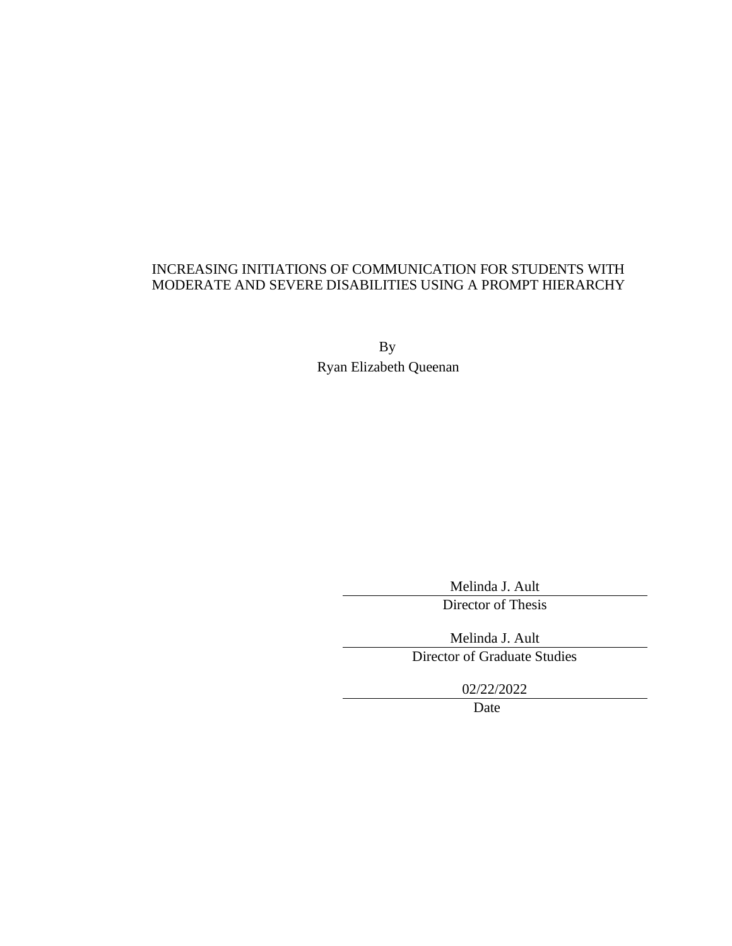## INCREASING INITIATIONS OF COMMUNICATION FOR STUDENTS WITH MODERATE AND SEVERE DISABILITIES USING A PROMPT HIERARCHY

By Ryan Elizabeth Queenan

Melinda J. Ault

Director of Thesis

Melinda J. Ault

Director of Graduate Studies

02/22/2022

Date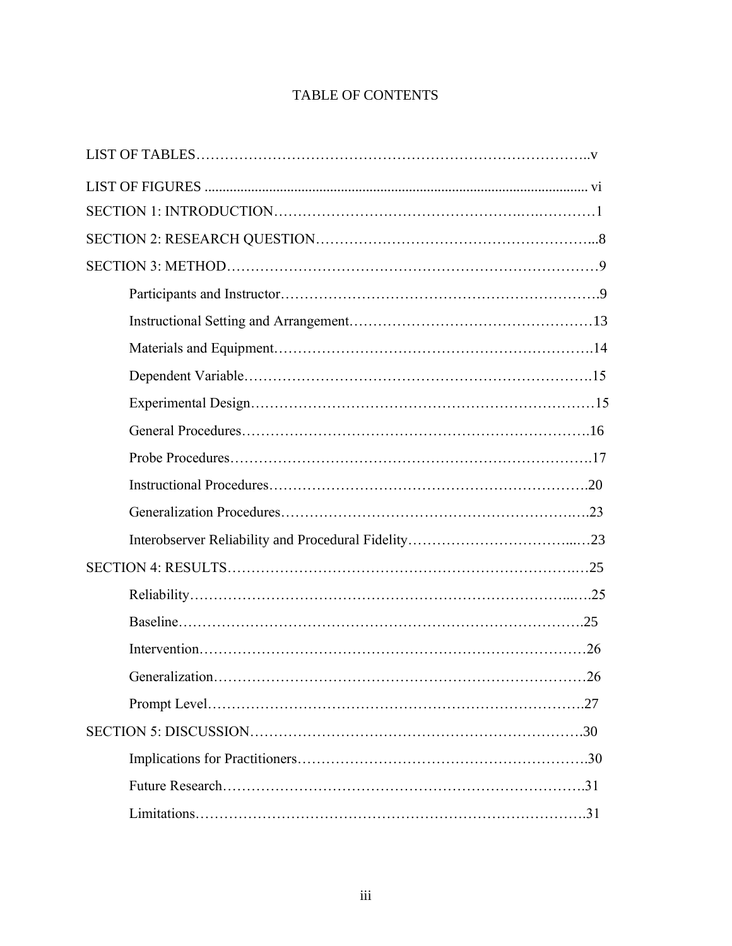# TABLE OF CONTENTS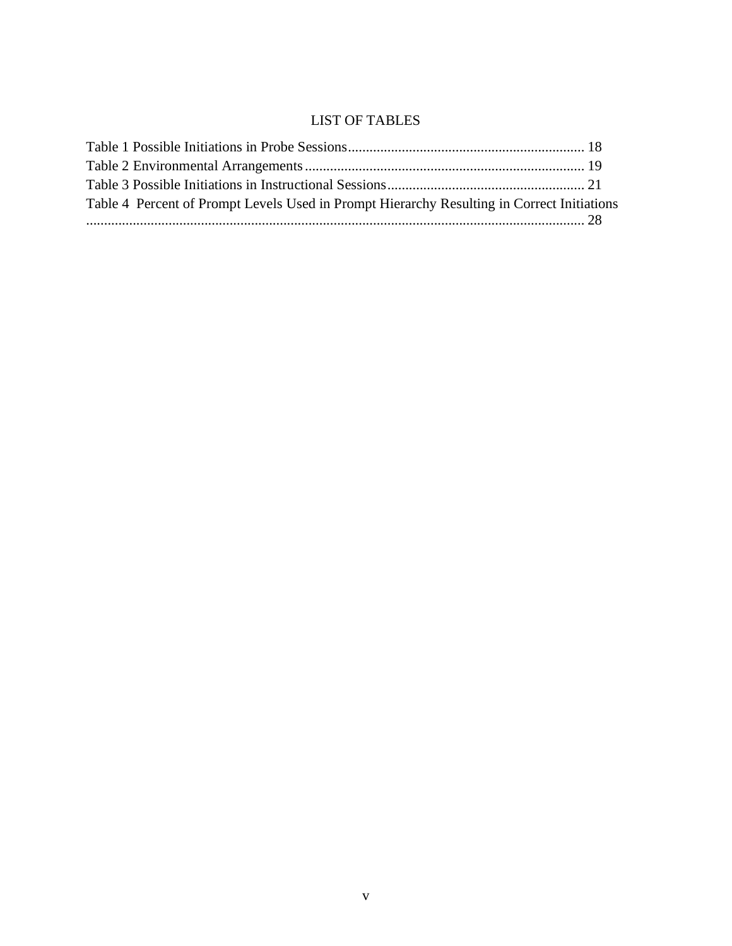# <span id="page-7-0"></span>LIST OF TABLES

<span id="page-7-1"></span>

| Table 4 Percent of Prompt Levels Used in Prompt Hierarchy Resulting in Correct Initiations |  |
|--------------------------------------------------------------------------------------------|--|
|                                                                                            |  |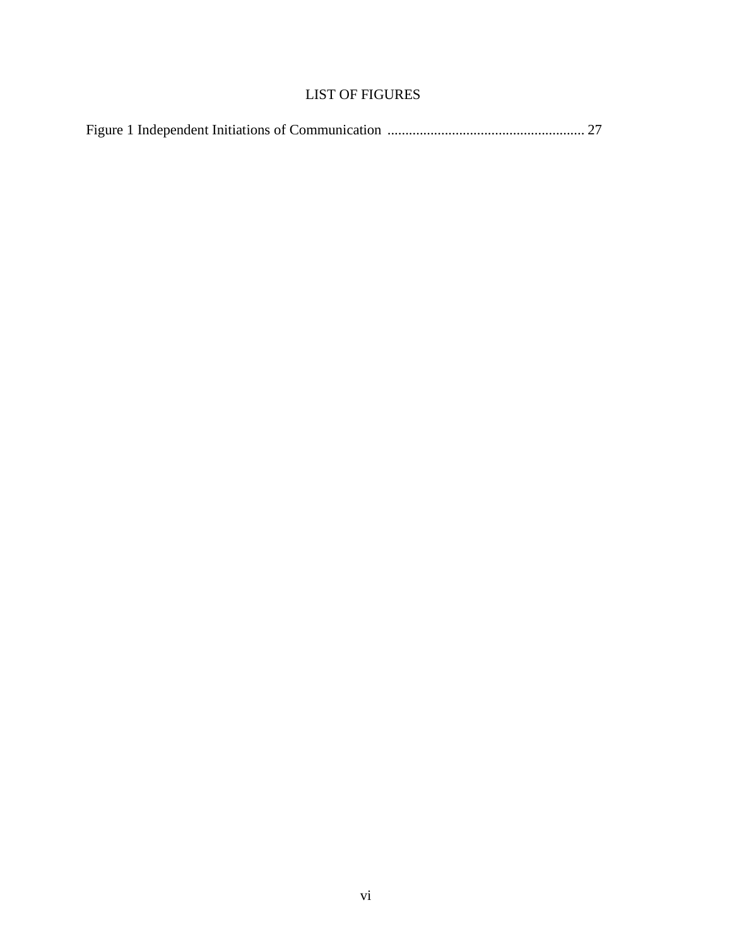# LIST OF FIGURES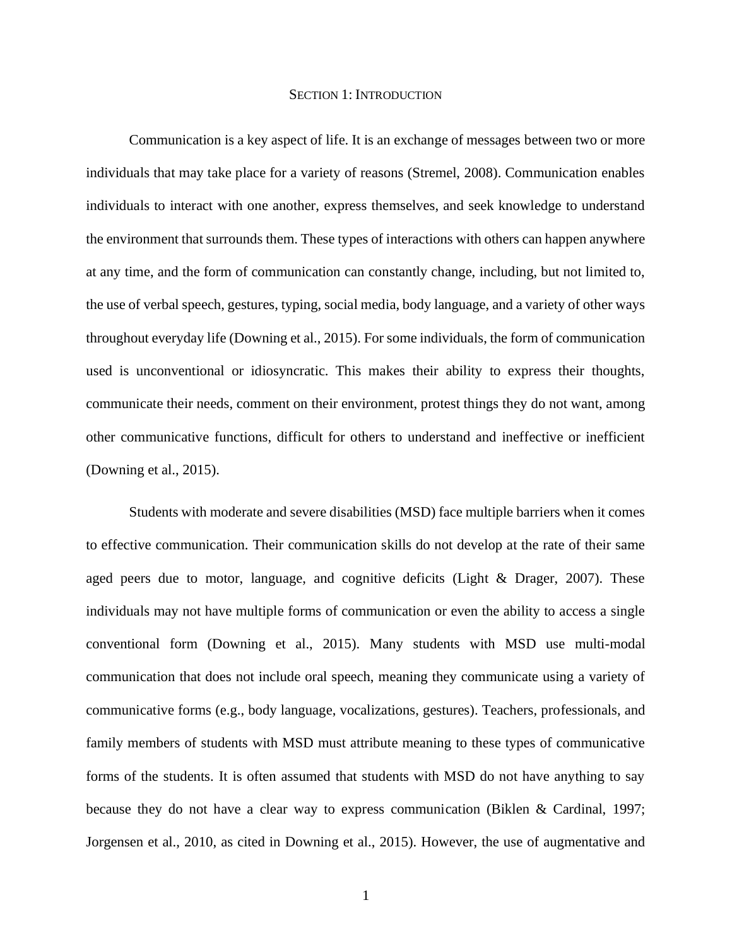#### SECTION 1: INTRODUCTION

<span id="page-9-0"></span>Communication is a key aspect of life. It is an exchange of messages between two or more individuals that may take place for a variety of reasons (Stremel, 2008). Communication enables individuals to interact with one another, express themselves, and seek knowledge to understand the environment that surrounds them. These types of interactions with others can happen anywhere at any time, and the form of communication can constantly change, including, but not limited to, the use of verbal speech, gestures, typing, social media, body language, and a variety of other ways throughout everyday life (Downing et al., 2015). For some individuals, the form of communication used is unconventional or idiosyncratic. This makes their ability to express their thoughts, communicate their needs, comment on their environment, protest things they do not want, among other communicative functions, difficult for others to understand and ineffective or inefficient (Downing et al., 2015).

Students with moderate and severe disabilities (MSD) face multiple barriers when it comes to effective communication. Their communication skills do not develop at the rate of their same aged peers due to motor, language, and cognitive deficits (Light & Drager, 2007). These individuals may not have multiple forms of communication or even the ability to access a single conventional form (Downing et al., 2015). Many students with MSD use multi-modal communication that does not include oral speech, meaning they communicate using a variety of communicative forms (e.g., body language, vocalizations, gestures). Teachers, professionals, and family members of students with MSD must attribute meaning to these types of communicative forms of the students. It is often assumed that students with MSD do not have anything to say because they do not have a clear way to express communication (Biklen & Cardinal, 1997; Jorgensen et al., 2010, as cited in Downing et al., 2015). However, the use of augmentative and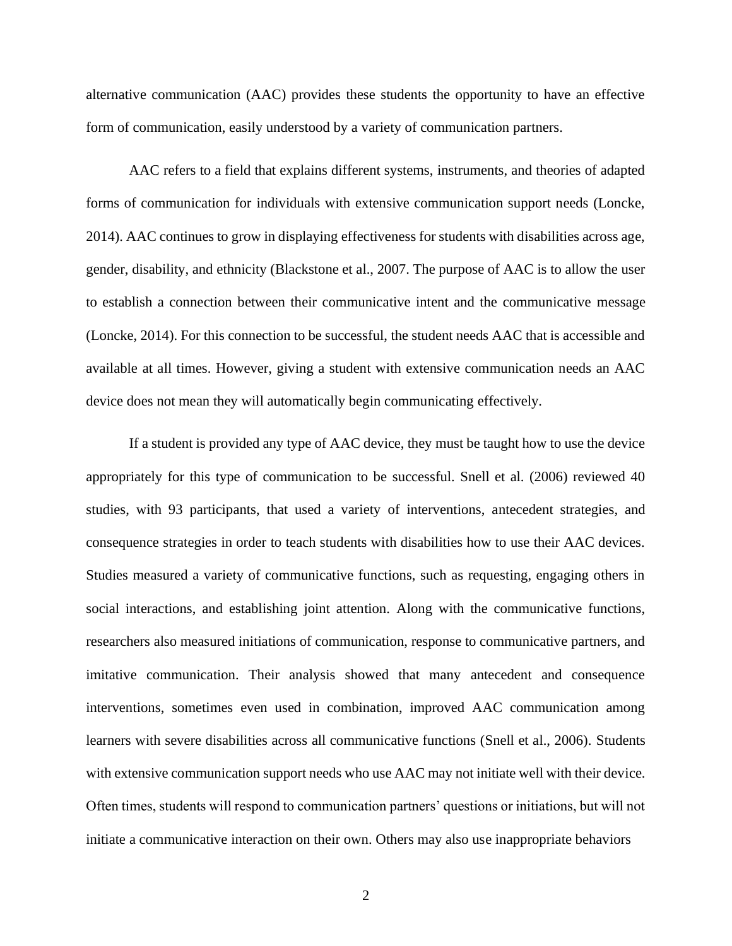alternative communication (AAC) provides these students the opportunity to have an effective form of communication, easily understood by a variety of communication partners.

AAC refers to a field that explains different systems, instruments, and theories of adapted forms of communication for individuals with extensive communication support needs (Loncke, 2014). AAC continues to grow in displaying effectiveness for students with disabilities across age, gender, disability, and ethnicity (Blackstone et al., 2007. The purpose of AAC is to allow the user to establish a connection between their communicative intent and the communicative message (Loncke, 2014). For this connection to be successful, the student needs AAC that is accessible and available at all times. However, giving a student with extensive communication needs an AAC device does not mean they will automatically begin communicating effectively.

If a student is provided any type of AAC device, they must be taught how to use the device appropriately for this type of communication to be successful. Snell et al. (2006) reviewed 40 studies, with 93 participants, that used a variety of interventions, antecedent strategies, and consequence strategies in order to teach students with disabilities how to use their AAC devices. Studies measured a variety of communicative functions, such as requesting, engaging others in social interactions, and establishing joint attention. Along with the communicative functions, researchers also measured initiations of communication, response to communicative partners, and imitative communication. Their analysis showed that many antecedent and consequence interventions, sometimes even used in combination, improved AAC communication among learners with severe disabilities across all communicative functions (Snell et al., 2006). Students with extensive communication support needs who use AAC may not initiate well with their device. Often times, students will respond to communication partners' questions or initiations, but will not initiate a communicative interaction on their own. Others may also use inappropriate behaviors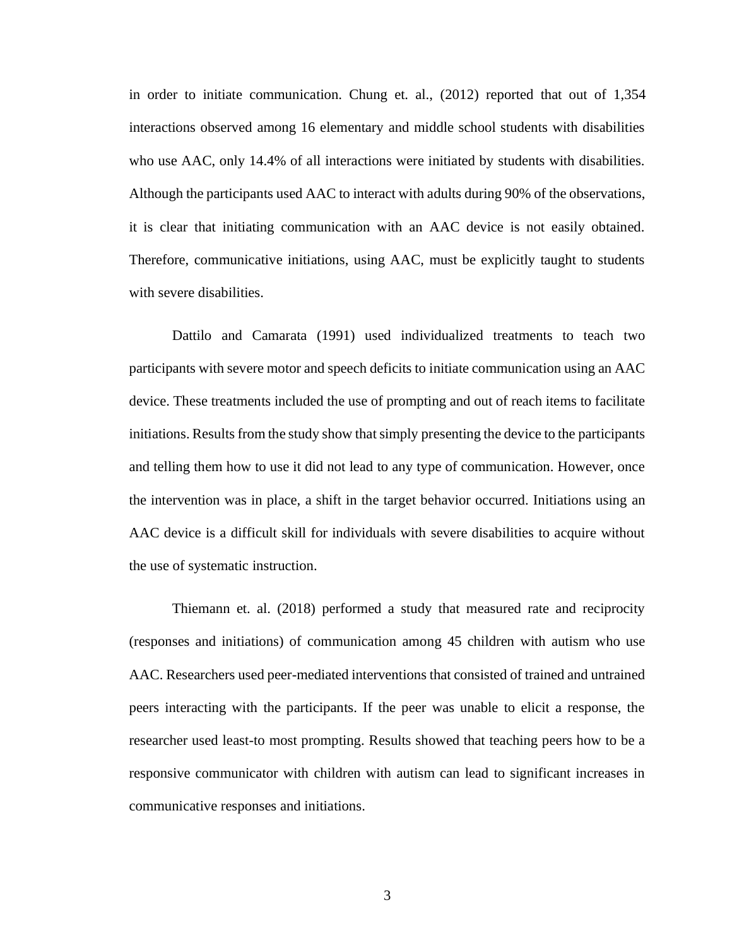in order to initiate communication. Chung et. al., (2012) reported that out of 1,354 interactions observed among 16 elementary and middle school students with disabilities who use AAC, only 14.4% of all interactions were initiated by students with disabilities. Although the participants used AAC to interact with adults during 90% of the observations, it is clear that initiating communication with an AAC device is not easily obtained. Therefore, communicative initiations, using AAC, must be explicitly taught to students with severe disabilities.

Dattilo and Camarata (1991) used individualized treatments to teach two participants with severe motor and speech deficits to initiate communication using an AAC device. These treatments included the use of prompting and out of reach items to facilitate initiations. Results from the study show that simply presenting the device to the participants and telling them how to use it did not lead to any type of communication. However, once the intervention was in place, a shift in the target behavior occurred. Initiations using an AAC device is a difficult skill for individuals with severe disabilities to acquire without the use of systematic instruction.

Thiemann et. al. (2018) performed a study that measured rate and reciprocity (responses and initiations) of communication among 45 children with autism who use AAC. Researchers used peer-mediated interventions that consisted of trained and untrained peers interacting with the participants. If the peer was unable to elicit a response, the researcher used least-to most prompting. Results showed that teaching peers how to be a responsive communicator with children with autism can lead to significant increases in communicative responses and initiations.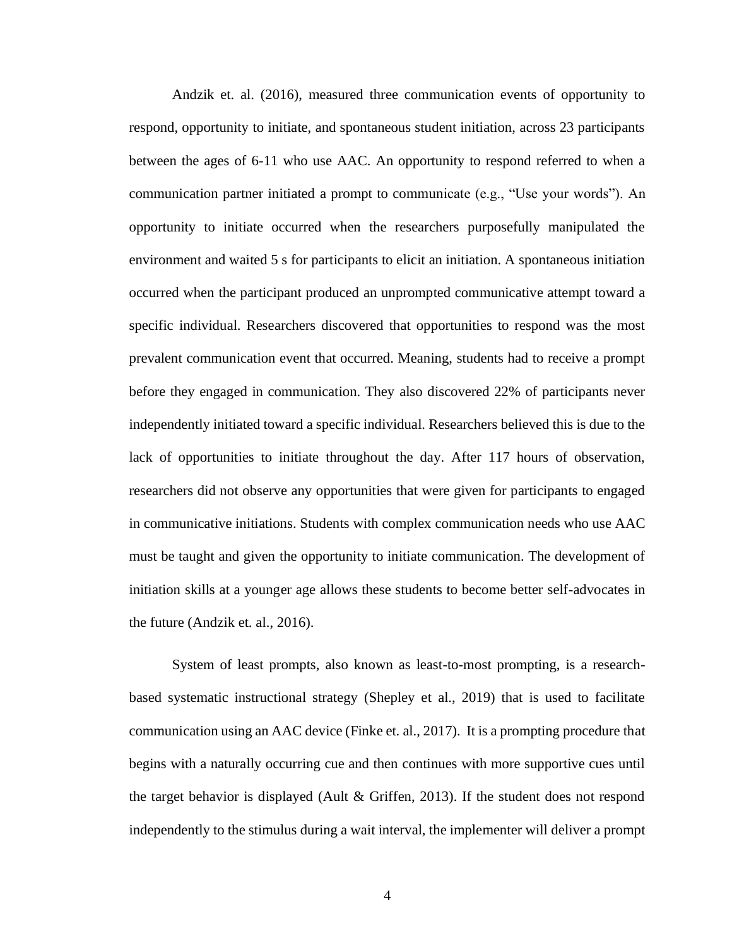Andzik et. al. (2016), measured three communication events of opportunity to respond, opportunity to initiate, and spontaneous student initiation, across 23 participants between the ages of 6-11 who use AAC. An opportunity to respond referred to when a communication partner initiated a prompt to communicate (e.g., "Use your words"). An opportunity to initiate occurred when the researchers purposefully manipulated the environment and waited 5 s for participants to elicit an initiation. A spontaneous initiation occurred when the participant produced an unprompted communicative attempt toward a specific individual. Researchers discovered that opportunities to respond was the most prevalent communication event that occurred. Meaning, students had to receive a prompt before they engaged in communication. They also discovered 22% of participants never independently initiated toward a specific individual. Researchers believed this is due to the lack of opportunities to initiate throughout the day. After 117 hours of observation, researchers did not observe any opportunities that were given for participants to engaged in communicative initiations. Students with complex communication needs who use AAC must be taught and given the opportunity to initiate communication. The development of initiation skills at a younger age allows these students to become better self-advocates in the future (Andzik et. al., 2016).

System of least prompts, also known as least-to-most prompting, is a researchbased systematic instructional strategy (Shepley et al., 2019) that is used to facilitate communication using an AAC device (Finke et. al., 2017). It is a prompting procedure that begins with a naturally occurring cue and then continues with more supportive cues until the target behavior is displayed (Ault & Griffen, 2013). If the student does not respond independently to the stimulus during a wait interval, the implementer will deliver a prompt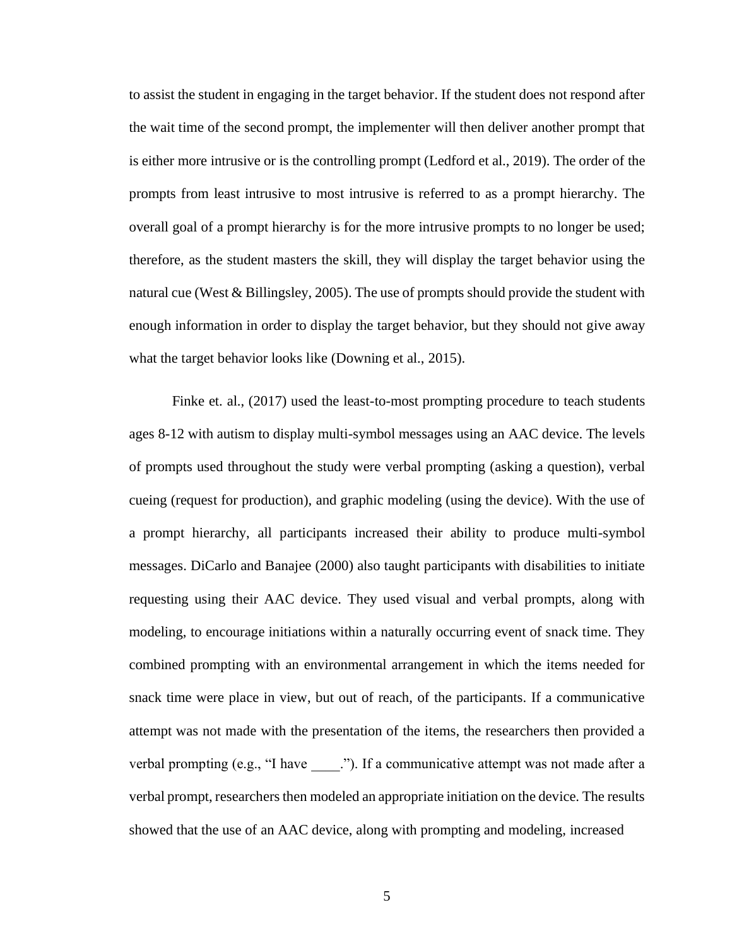to assist the student in engaging in the target behavior. If the student does not respond after the wait time of the second prompt, the implementer will then deliver another prompt that is either more intrusive or is the controlling prompt (Ledford et al., 2019). The order of the prompts from least intrusive to most intrusive is referred to as a prompt hierarchy. The overall goal of a prompt hierarchy is for the more intrusive prompts to no longer be used; therefore, as the student masters the skill, they will display the target behavior using the natural cue (West  $\&$  Billingsley, 2005). The use of prompts should provide the student with enough information in order to display the target behavior, but they should not give away what the target behavior looks like (Downing et al., 2015).

Finke et. al., (2017) used the least-to-most prompting procedure to teach students ages 8-12 with autism to display multi-symbol messages using an AAC device. The levels of prompts used throughout the study were verbal prompting (asking a question), verbal cueing (request for production), and graphic modeling (using the device). With the use of a prompt hierarchy, all participants increased their ability to produce multi-symbol messages. DiCarlo and Banajee (2000) also taught participants with disabilities to initiate requesting using their AAC device. They used visual and verbal prompts, along with modeling, to encourage initiations within a naturally occurring event of snack time. They combined prompting with an environmental arrangement in which the items needed for snack time were place in view, but out of reach, of the participants. If a communicative attempt was not made with the presentation of the items, the researchers then provided a verbal prompting (e.g., "I have \_\_\_\_."). If a communicative attempt was not made after a verbal prompt, researchers then modeled an appropriate initiation on the device. The results showed that the use of an AAC device, along with prompting and modeling, increased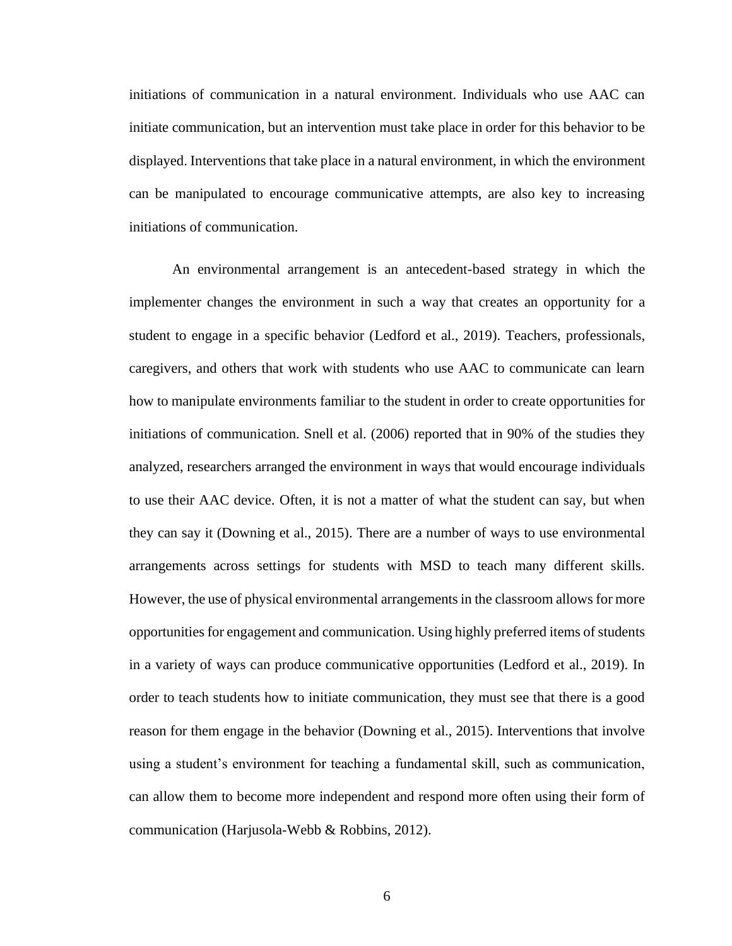initiations of communication in a natural environment. Individuals who use AAC can initiate communication, but an intervention must take place in order for this behavior to be displayed. Interventions that take place in a natural environment, in which the environment can be manipulated to encourage communicative attempts, are also key to increasing initiations of communication.

An environmental arrangement is an antecedent-based strategy in which the implementer changes the environment in such a way that creates an opportunity for a student to engage in a specific behavior (Ledford et al., 2019). Teachers, professionals, caregivers, and others that work with students who use AAC to communicate can learn how to manipulate environments familiar to the student in order to create opportunities for initiations of communication. Snell et al. (2006) reported that in 90% of the studies they analyzed, researchers arranged the environment in ways that would encourage individuals to use their AAC device. Often, it is not a matter of what the student can say, but when they can say it (Downing et al., 2015). There are a number of ways to use environmental arrangements across settings for students with MSD to teach many different skills. However, the use of physical environmental arrangements in the classroom allows for more opportunities for engagement and communication. Using highly preferred items of students in a variety of ways can produce communicative opportunities (Ledford et al., 2019). In order to teach students how to initiate communication, they must see that there is a good reason for them engage in the behavior (Downing et al., 2015). Interventions that involve using a student's environment for teaching a fundamental skill, such as communication, can allow them to become more independent and respond more often using their form of communication (Harjusola-Webb & Robbins, 2012).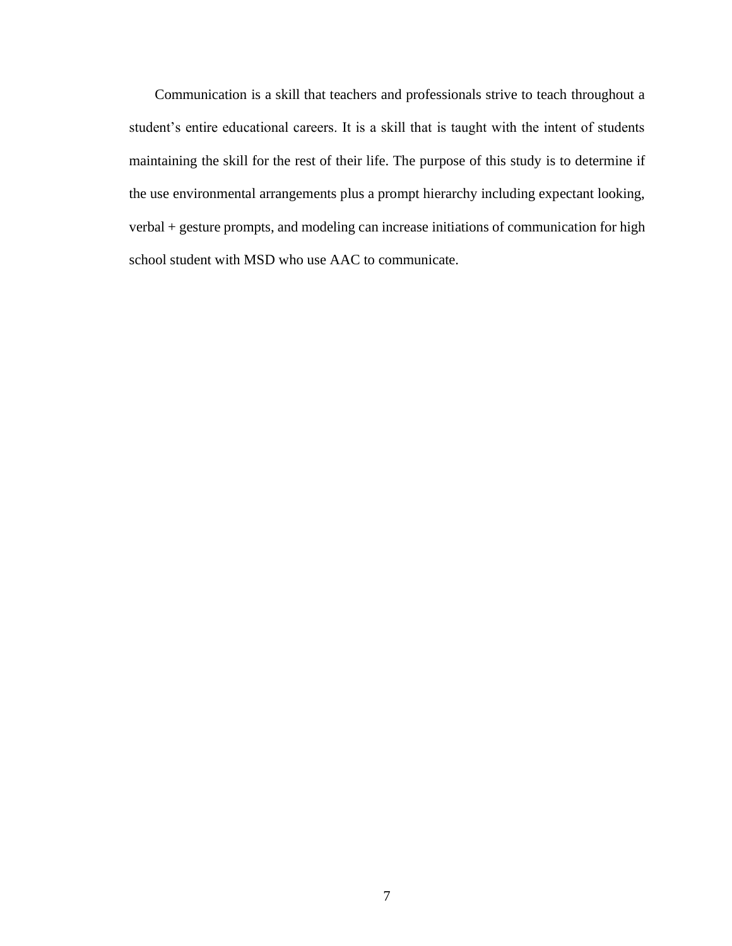Communication is a skill that teachers and professionals strive to teach throughout a student's entire educational careers. It is a skill that is taught with the intent of students maintaining the skill for the rest of their life. The purpose of this study is to determine if the use environmental arrangements plus a prompt hierarchy including expectant looking, verbal + gesture prompts, and modeling can increase initiations of communication for high school student with MSD who use AAC to communicate.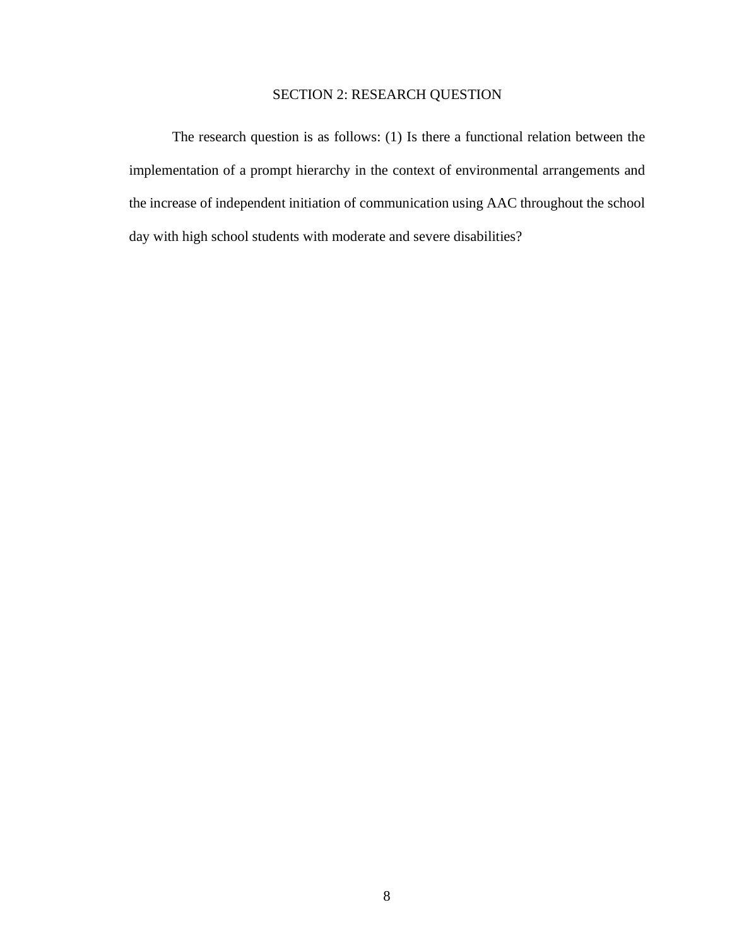# SECTION 2: RESEARCH QUESTION

<span id="page-16-0"></span>The research question is as follows: (1) Is there a functional relation between the implementation of a prompt hierarchy in the context of environmental arrangements and the increase of independent initiation of communication using AAC throughout the school day with high school students with moderate and severe disabilities?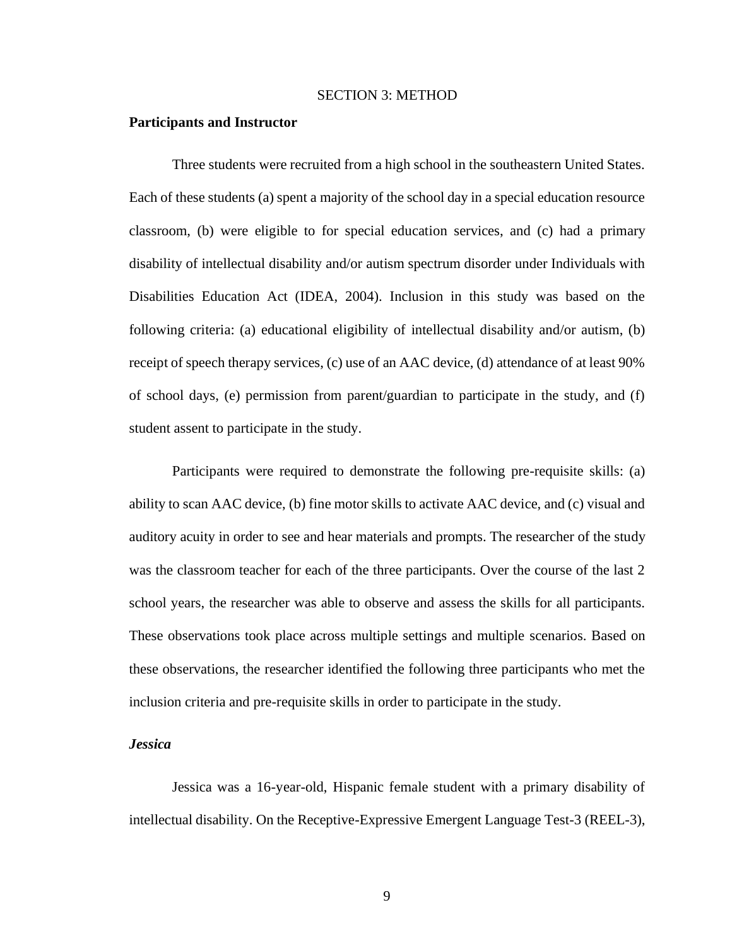#### SECTION 3: METHOD

#### <span id="page-17-0"></span>**Participants and Instructor**

Three students were recruited from a high school in the southeastern United States. Each of these students (a) spent a majority of the school day in a special education resource classroom, (b) were eligible to for special education services, and (c) had a primary disability of intellectual disability and/or autism spectrum disorder under Individuals with Disabilities Education Act (IDEA, 2004). Inclusion in this study was based on the following criteria: (a) educational eligibility of intellectual disability and/or autism, (b) receipt of speech therapy services, (c) use of an AAC device, (d) attendance of at least 90% of school days, (e) permission from parent/guardian to participate in the study, and (f) student assent to participate in the study.

Participants were required to demonstrate the following pre-requisite skills: (a) ability to scan AAC device, (b) fine motor skills to activate AAC device, and (c) visual and auditory acuity in order to see and hear materials and prompts. The researcher of the study was the classroom teacher for each of the three participants. Over the course of the last 2 school years, the researcher was able to observe and assess the skills for all participants. These observations took place across multiple settings and multiple scenarios. Based on these observations, the researcher identified the following three participants who met the inclusion criteria and pre-requisite skills in order to participate in the study.

### *Jessica*

Jessica was a 16-year-old, Hispanic female student with a primary disability of intellectual disability. On the Receptive-Expressive Emergent Language Test-3 (REEL-3),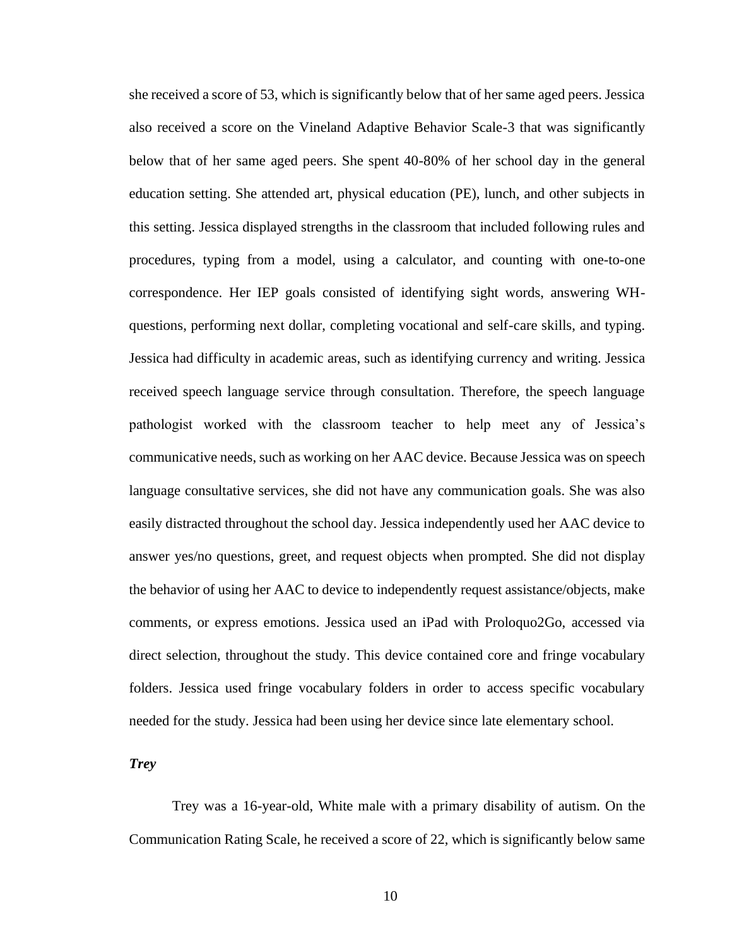she received a score of 53, which is significantly below that of her same aged peers. Jessica also received a score on the Vineland Adaptive Behavior Scale-3 that was significantly below that of her same aged peers. She spent 40-80% of her school day in the general education setting. She attended art, physical education (PE), lunch, and other subjects in this setting. Jessica displayed strengths in the classroom that included following rules and procedures, typing from a model, using a calculator, and counting with one-to-one correspondence. Her IEP goals consisted of identifying sight words, answering WHquestions, performing next dollar, completing vocational and self-care skills, and typing. Jessica had difficulty in academic areas, such as identifying currency and writing. Jessica received speech language service through consultation. Therefore, the speech language pathologist worked with the classroom teacher to help meet any of Jessica's communicative needs, such as working on her AAC device. Because Jessica was on speech language consultative services, she did not have any communication goals. She was also easily distracted throughout the school day. Jessica independently used her AAC device to answer yes/no questions, greet, and request objects when prompted. She did not display the behavior of using her AAC to device to independently request assistance/objects, make comments, or express emotions. Jessica used an iPad with Proloquo2Go, accessed via direct selection, throughout the study. This device contained core and fringe vocabulary folders. Jessica used fringe vocabulary folders in order to access specific vocabulary needed for the study. Jessica had been using her device since late elementary school.

*Trey*

Trey was a 16-year-old, White male with a primary disability of autism. On the Communication Rating Scale, he received a score of 22, which is significantly below same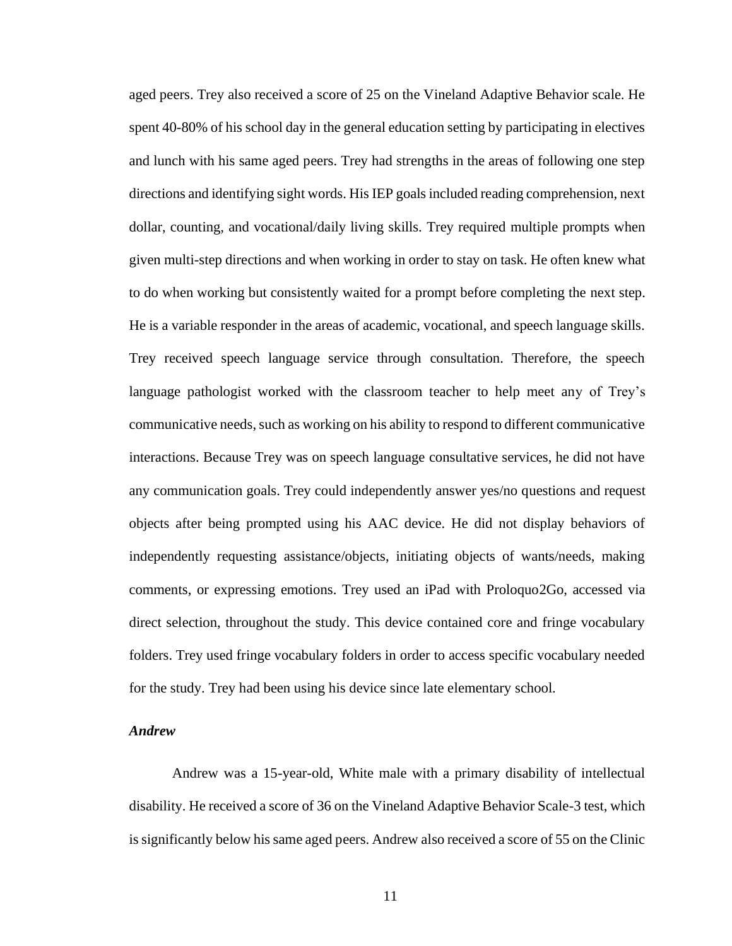aged peers. Trey also received a score of 25 on the Vineland Adaptive Behavior scale. He spent 40-80% of his school day in the general education setting by participating in electives and lunch with his same aged peers. Trey had strengths in the areas of following one step directions and identifying sight words. His IEP goals included reading comprehension, next dollar, counting, and vocational/daily living skills. Trey required multiple prompts when given multi-step directions and when working in order to stay on task. He often knew what to do when working but consistently waited for a prompt before completing the next step. He is a variable responder in the areas of academic, vocational, and speech language skills. Trey received speech language service through consultation. Therefore, the speech language pathologist worked with the classroom teacher to help meet any of Trey's communicative needs, such as working on his ability to respond to different communicative interactions. Because Trey was on speech language consultative services, he did not have any communication goals. Trey could independently answer yes/no questions and request objects after being prompted using his AAC device. He did not display behaviors of independently requesting assistance/objects, initiating objects of wants/needs, making comments, or expressing emotions. Trey used an iPad with Proloquo2Go, accessed via direct selection, throughout the study. This device contained core and fringe vocabulary folders. Trey used fringe vocabulary folders in order to access specific vocabulary needed for the study. Trey had been using his device since late elementary school.

## *Andrew*

Andrew was a 15-year-old, White male with a primary disability of intellectual disability. He received a score of 36 on the Vineland Adaptive Behavior Scale-3 test, which is significantly below his same aged peers. Andrew also received a score of 55 on the Clinic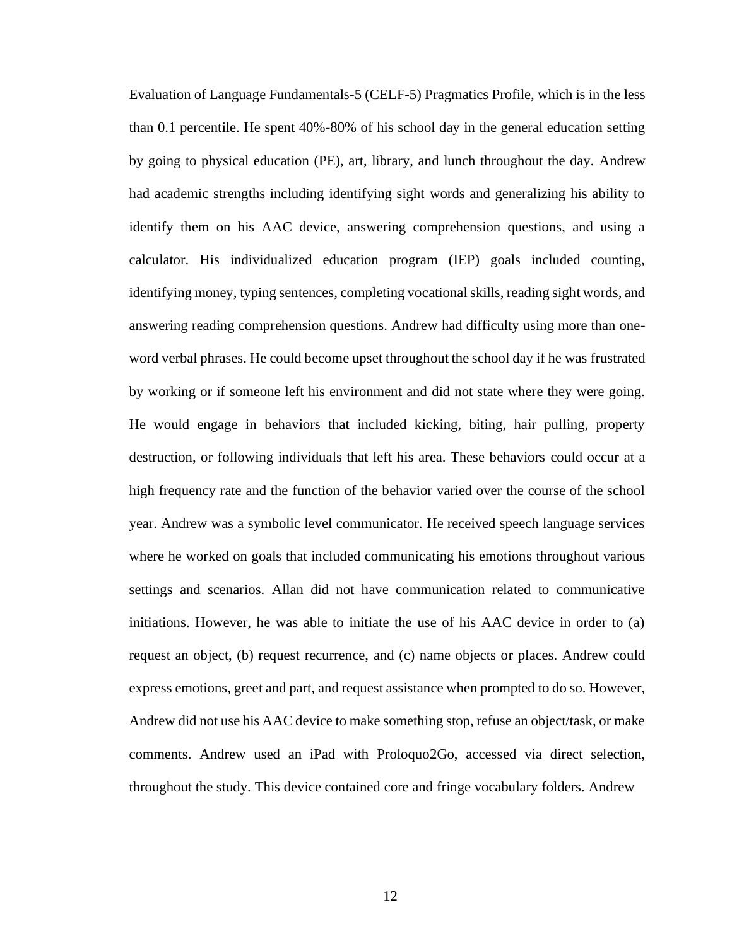Evaluation of Language Fundamentals-5 (CELF-5) Pragmatics Profile, which is in the less than 0.1 percentile. He spent 40%-80% of his school day in the general education setting by going to physical education (PE), art, library, and lunch throughout the day. Andrew had academic strengths including identifying sight words and generalizing his ability to identify them on his AAC device, answering comprehension questions, and using a calculator. His individualized education program (IEP) goals included counting, identifying money, typing sentences, completing vocational skills, reading sight words, and answering reading comprehension questions. Andrew had difficulty using more than oneword verbal phrases. He could become upset throughout the school day if he was frustrated by working or if someone left his environment and did not state where they were going. He would engage in behaviors that included kicking, biting, hair pulling, property destruction, or following individuals that left his area. These behaviors could occur at a high frequency rate and the function of the behavior varied over the course of the school year. Andrew was a symbolic level communicator. He received speech language services where he worked on goals that included communicating his emotions throughout various settings and scenarios. Allan did not have communication related to communicative initiations. However, he was able to initiate the use of his AAC device in order to (a) request an object, (b) request recurrence, and (c) name objects or places. Andrew could express emotions, greet and part, and request assistance when prompted to do so. However, Andrew did not use his AAC device to make something stop, refuse an object/task, or make comments. Andrew used an iPad with Proloquo2Go, accessed via direct selection, throughout the study. This device contained core and fringe vocabulary folders. Andrew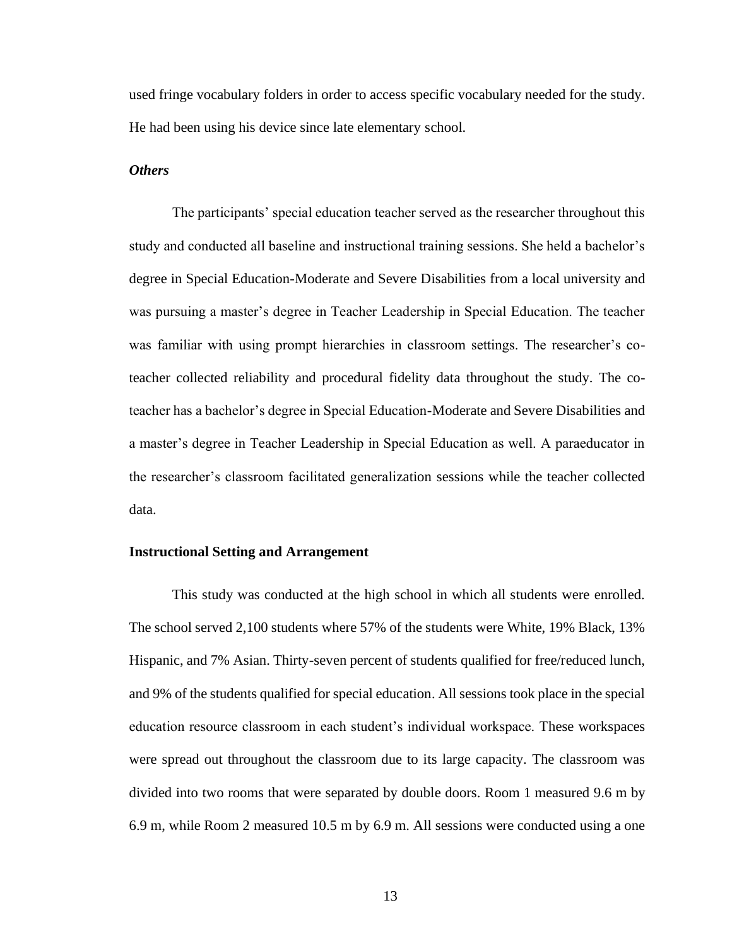used fringe vocabulary folders in order to access specific vocabulary needed for the study. He had been using his device since late elementary school.

## *Others*

The participants' special education teacher served as the researcher throughout this study and conducted all baseline and instructional training sessions. She held a bachelor's degree in Special Education-Moderate and Severe Disabilities from a local university and was pursuing a master's degree in Teacher Leadership in Special Education. The teacher was familiar with using prompt hierarchies in classroom settings. The researcher's coteacher collected reliability and procedural fidelity data throughout the study. The coteacher has a bachelor's degree in Special Education-Moderate and Severe Disabilities and a master's degree in Teacher Leadership in Special Education as well. A paraeducator in the researcher's classroom facilitated generalization sessions while the teacher collected data.

### **Instructional Setting and Arrangement**

This study was conducted at the high school in which all students were enrolled. The school served 2,100 students where 57% of the students were White, 19% Black, 13% Hispanic, and 7% Asian. Thirty-seven percent of students qualified for free/reduced lunch, and 9% of the students qualified for special education. All sessions took place in the special education resource classroom in each student's individual workspace. These workspaces were spread out throughout the classroom due to its large capacity. The classroom was divided into two rooms that were separated by double doors. Room 1 measured 9.6 m by 6.9 m, while Room 2 measured 10.5 m by 6.9 m. All sessions were conducted using a one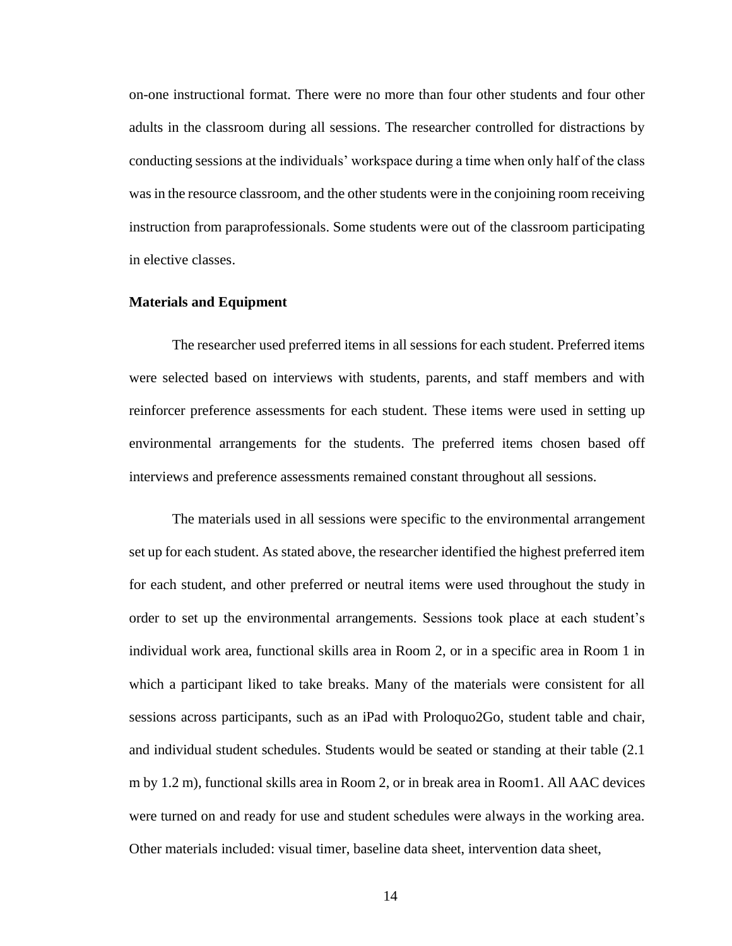on-one instructional format. There were no more than four other students and four other adults in the classroom during all sessions. The researcher controlled for distractions by conducting sessions at the individuals' workspace during a time when only half of the class was in the resource classroom, and the other students were in the conjoining room receiving instruction from paraprofessionals. Some students were out of the classroom participating in elective classes.

### **Materials and Equipment**

The researcher used preferred items in all sessions for each student. Preferred items were selected based on interviews with students, parents, and staff members and with reinforcer preference assessments for each student. These items were used in setting up environmental arrangements for the students. The preferred items chosen based off interviews and preference assessments remained constant throughout all sessions.

The materials used in all sessions were specific to the environmental arrangement set up for each student. As stated above, the researcher identified the highest preferred item for each student, and other preferred or neutral items were used throughout the study in order to set up the environmental arrangements. Sessions took place at each student's individual work area, functional skills area in Room 2, or in a specific area in Room 1 in which a participant liked to take breaks. Many of the materials were consistent for all sessions across participants, such as an iPad with Proloquo2Go, student table and chair, and individual student schedules. Students would be seated or standing at their table (2.1 m by 1.2 m), functional skills area in Room 2, or in break area in Room1. All AAC devices were turned on and ready for use and student schedules were always in the working area. Other materials included: visual timer, baseline data sheet, intervention data sheet,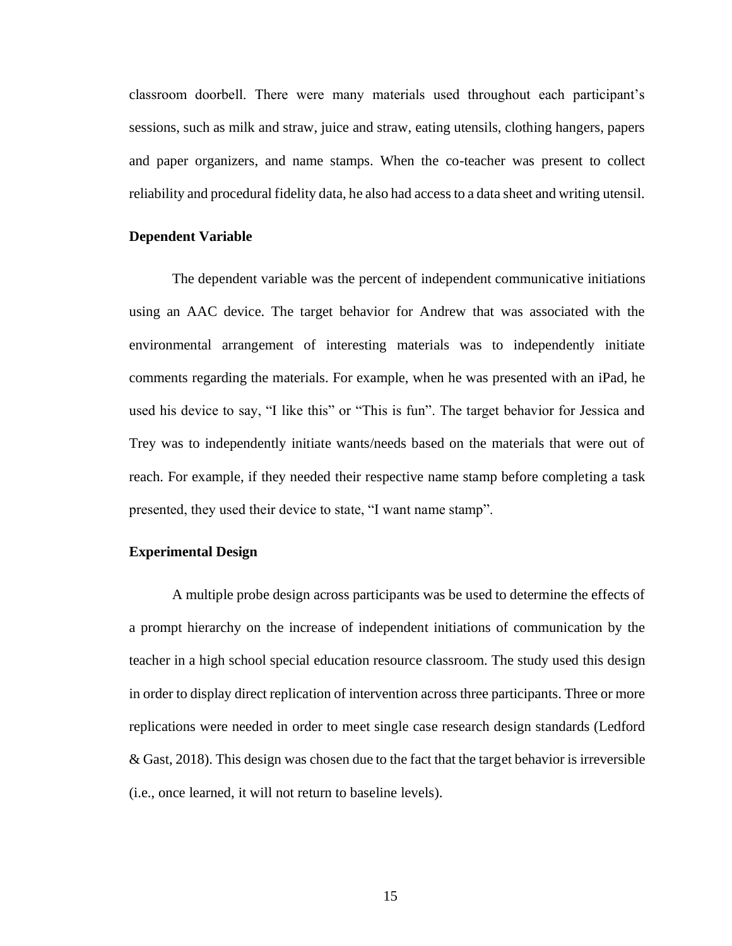classroom doorbell. There were many materials used throughout each participant's sessions, such as milk and straw, juice and straw, eating utensils, clothing hangers, papers and paper organizers, and name stamps. When the co-teacher was present to collect reliability and procedural fidelity data, he also had access to a data sheet and writing utensil.

## **Dependent Variable**

The dependent variable was the percent of independent communicative initiations using an AAC device. The target behavior for Andrew that was associated with the environmental arrangement of interesting materials was to independently initiate comments regarding the materials. For example, when he was presented with an iPad, he used his device to say, "I like this" or "This is fun". The target behavior for Jessica and Trey was to independently initiate wants/needs based on the materials that were out of reach. For example, if they needed their respective name stamp before completing a task presented, they used their device to state, "I want name stamp".

### **Experimental Design**

A multiple probe design across participants was be used to determine the effects of a prompt hierarchy on the increase of independent initiations of communication by the teacher in a high school special education resource classroom. The study used this design in order to display direct replication of intervention across three participants. Three or more replications were needed in order to meet single case research design standards (Ledford & Gast, 2018). This design was chosen due to the fact that the target behavior is irreversible (i.e., once learned, it will not return to baseline levels).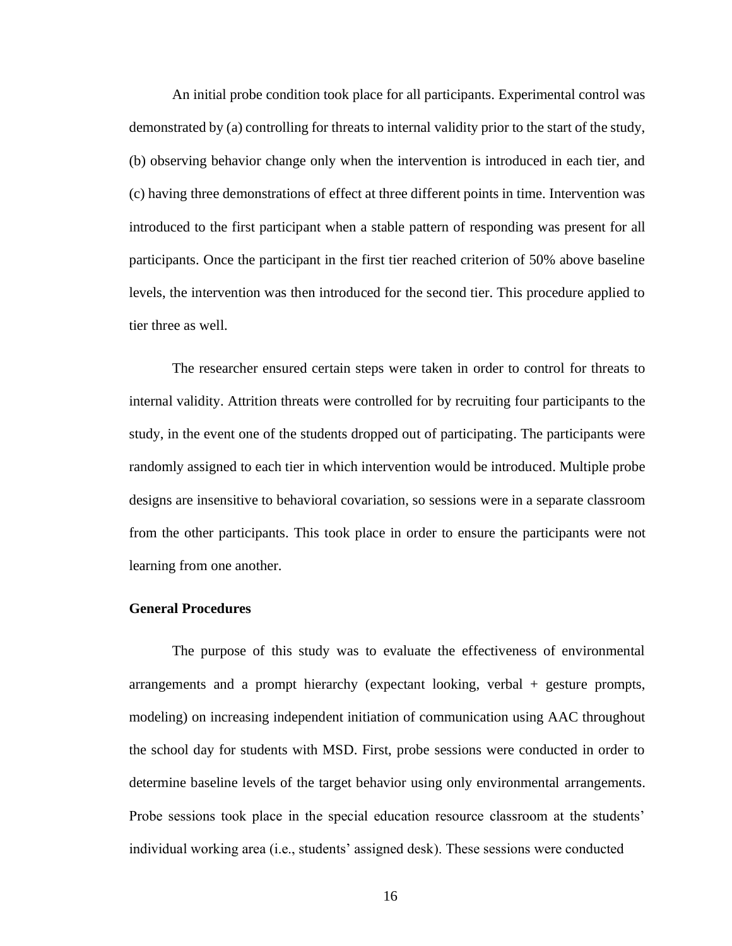An initial probe condition took place for all participants. Experimental control was demonstrated by (a) controlling for threats to internal validity prior to the start of the study, (b) observing behavior change only when the intervention is introduced in each tier, and (c) having three demonstrations of effect at three different points in time. Intervention was introduced to the first participant when a stable pattern of responding was present for all participants. Once the participant in the first tier reached criterion of 50% above baseline levels, the intervention was then introduced for the second tier. This procedure applied to tier three as well.

The researcher ensured certain steps were taken in order to control for threats to internal validity. Attrition threats were controlled for by recruiting four participants to the study, in the event one of the students dropped out of participating. The participants were randomly assigned to each tier in which intervention would be introduced. Multiple probe designs are insensitive to behavioral covariation, so sessions were in a separate classroom from the other participants. This took place in order to ensure the participants were not learning from one another.

### **General Procedures**

The purpose of this study was to evaluate the effectiveness of environmental arrangements and a prompt hierarchy (expectant looking, verbal + gesture prompts, modeling) on increasing independent initiation of communication using AAC throughout the school day for students with MSD. First, probe sessions were conducted in order to determine baseline levels of the target behavior using only environmental arrangements. Probe sessions took place in the special education resource classroom at the students' individual working area (i.e., students' assigned desk). These sessions were conducted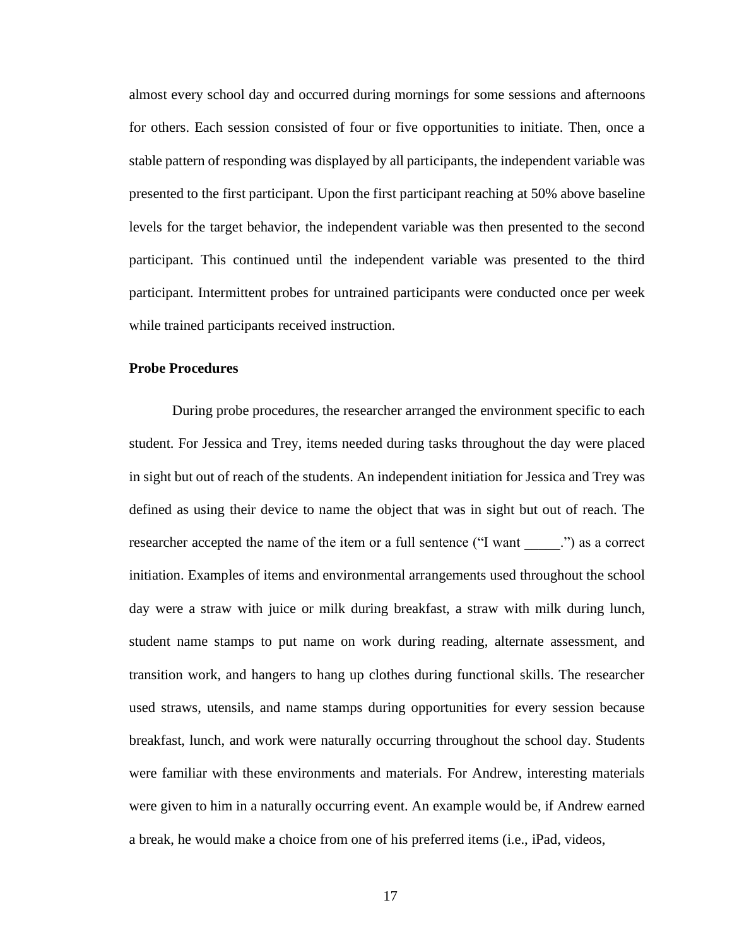almost every school day and occurred during mornings for some sessions and afternoons for others. Each session consisted of four or five opportunities to initiate. Then, once a stable pattern of responding was displayed by all participants, the independent variable was presented to the first participant. Upon the first participant reaching at 50% above baseline levels for the target behavior, the independent variable was then presented to the second participant. This continued until the independent variable was presented to the third participant. Intermittent probes for untrained participants were conducted once per week while trained participants received instruction.

## **Probe Procedures**

During probe procedures, the researcher arranged the environment specific to each student. For Jessica and Trey, items needed during tasks throughout the day were placed in sight but out of reach of the students. An independent initiation for Jessica and Trey was defined as using their device to name the object that was in sight but out of reach. The researcher accepted the name of the item or a full sentence ("I want \_\_\_\_\_.") as a correct initiation. Examples of items and environmental arrangements used throughout the school day were a straw with juice or milk during breakfast, a straw with milk during lunch, student name stamps to put name on work during reading, alternate assessment, and transition work, and hangers to hang up clothes during functional skills. The researcher used straws, utensils, and name stamps during opportunities for every session because breakfast, lunch, and work were naturally occurring throughout the school day. Students were familiar with these environments and materials. For Andrew, interesting materials were given to him in a naturally occurring event. An example would be, if Andrew earned a break, he would make a choice from one of his preferred items (i.e., iPad, videos,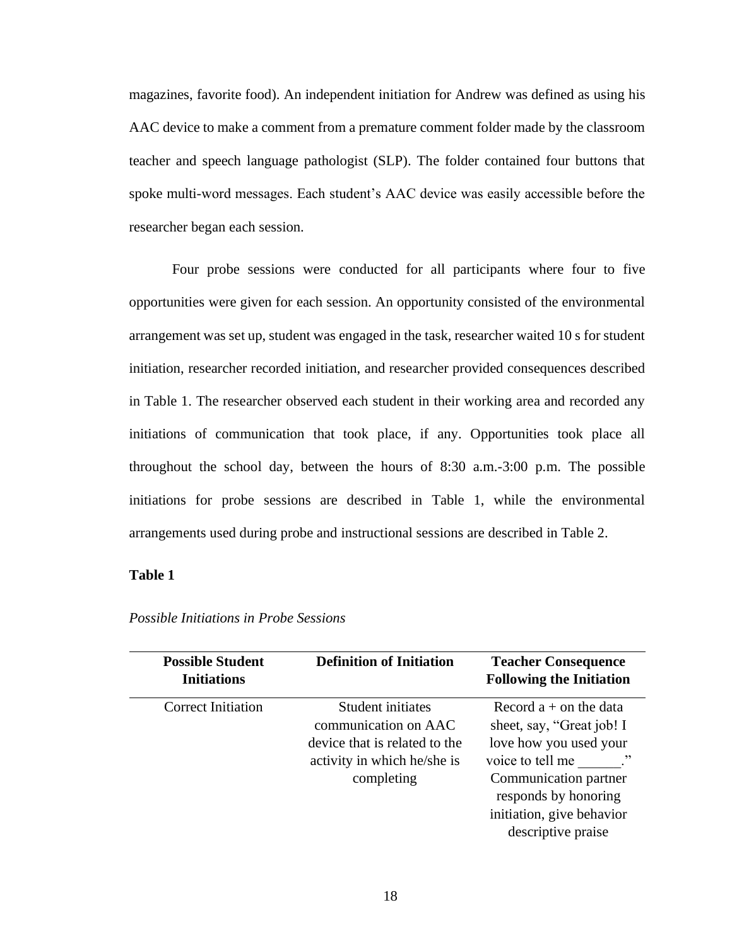magazines, favorite food). An independent initiation for Andrew was defined as using his AAC device to make a comment from a premature comment folder made by the classroom teacher and speech language pathologist (SLP). The folder contained four buttons that spoke multi-word messages. Each student's AAC device was easily accessible before the researcher began each session.

Four probe sessions were conducted for all participants where four to five opportunities were given for each session. An opportunity consisted of the environmental arrangement was set up, student was engaged in the task, researcher waited 10 s for student initiation, researcher recorded initiation, and researcher provided consequences described in Table 1. The researcher observed each student in their working area and recorded any initiations of communication that took place, if any. Opportunities took place all throughout the school day, between the hours of 8:30 a.m.-3:00 p.m. The possible initiations for probe sessions are described in Table 1, while the environmental arrangements used during probe and instructional sessions are described in Table 2.

#### **Table 1**

| <b>Possible Student</b><br><b>Initiations</b> | <b>Definition of Initiation</b>                                                                                         | <b>Teacher Consequence</b><br><b>Following the Initiation</b>                                                                                                                                                    |
|-----------------------------------------------|-------------------------------------------------------------------------------------------------------------------------|------------------------------------------------------------------------------------------------------------------------------------------------------------------------------------------------------------------|
| <b>Correct Initiation</b>                     | Student initiates<br>communication on AAC<br>device that is related to the<br>activity in which he/she is<br>completing | Record $a + on$ the data<br>sheet, say, "Great job! I<br>love how you used your<br>voice to tell me<br>, , ,<br>Communication partner<br>responds by honoring<br>initiation, give behavior<br>descriptive praise |

*Possible Initiations in Probe Sessions*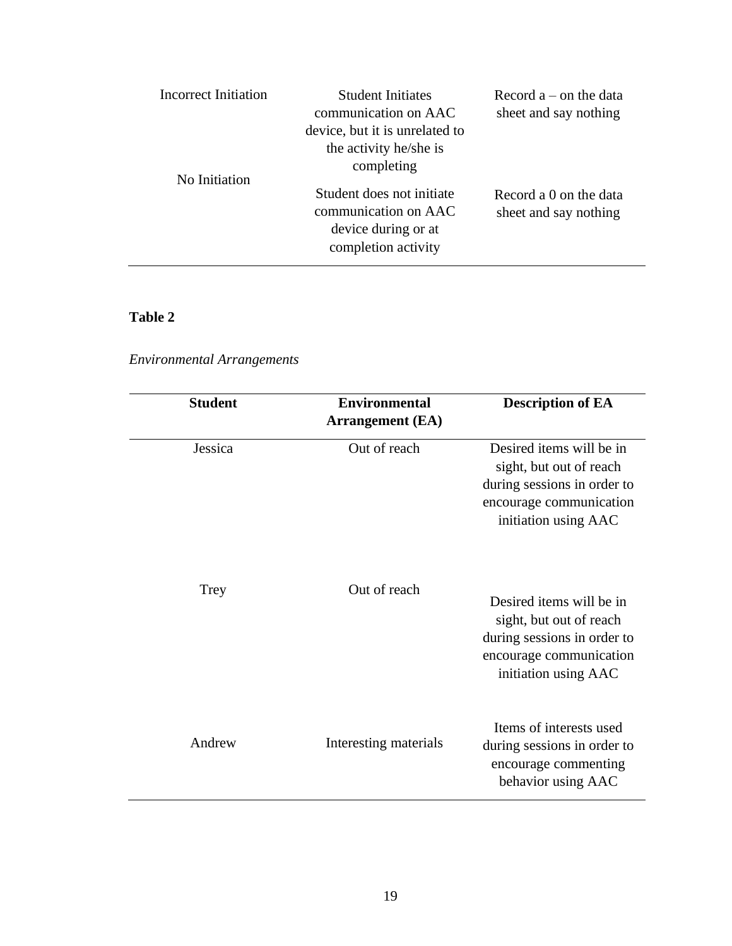| Incorrect Initiation | <b>Student Initiates</b><br>communication on AAC<br>device, but it is unrelated to<br>the activity he/she is<br>completing | Record $a$ – on the data<br>sheet and say nothing |
|----------------------|----------------------------------------------------------------------------------------------------------------------------|---------------------------------------------------|
| No Initiation        | Student does not initiate<br>communication on AAC<br>device during or at<br>completion activity                            | Record a 0 on the data<br>sheet and say nothing   |

# **Table 2**

*Environmental Arrangements*

| <b>Student</b> | <b>Environmental</b><br><b>Arrangement</b> (EA) | <b>Description of EA</b>                                                                                                              |
|----------------|-------------------------------------------------|---------------------------------------------------------------------------------------------------------------------------------------|
| Jessica        | Out of reach                                    | Desired items will be in<br>sight, but out of reach<br>during sessions in order to<br>encourage communication<br>initiation using AAC |
| Trey           | Out of reach                                    | Desired items will be in<br>sight, but out of reach<br>during sessions in order to<br>encourage communication<br>initiation using AAC |
| Andrew         | Interesting materials                           | Items of interests used<br>during sessions in order to<br>encourage commenting<br>behavior using AAC                                  |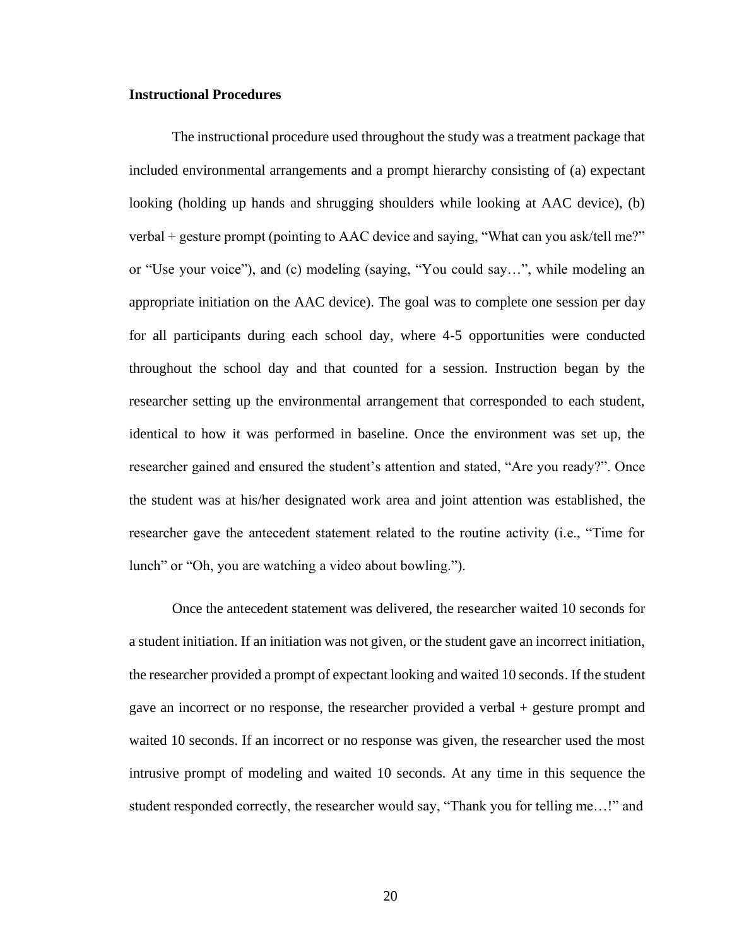#### **Instructional Procedures**

The instructional procedure used throughout the study was a treatment package that included environmental arrangements and a prompt hierarchy consisting of (a) expectant looking (holding up hands and shrugging shoulders while looking at AAC device), (b) verbal + gesture prompt (pointing to AAC device and saying, "What can you ask/tell me?" or "Use your voice"), and (c) modeling (saying, "You could say…", while modeling an appropriate initiation on the AAC device). The goal was to complete one session per day for all participants during each school day, where 4-5 opportunities were conducted throughout the school day and that counted for a session. Instruction began by the researcher setting up the environmental arrangement that corresponded to each student, identical to how it was performed in baseline. Once the environment was set up, the researcher gained and ensured the student's attention and stated, "Are you ready?". Once the student was at his/her designated work area and joint attention was established, the researcher gave the antecedent statement related to the routine activity (i.e., "Time for lunch" or "Oh, you are watching a video about bowling.").

Once the antecedent statement was delivered, the researcher waited 10 seconds for a student initiation. If an initiation was not given, or the student gave an incorrect initiation, the researcher provided a prompt of expectant looking and waited 10 seconds. If the student gave an incorrect or no response, the researcher provided a verbal + gesture prompt and waited 10 seconds. If an incorrect or no response was given, the researcher used the most intrusive prompt of modeling and waited 10 seconds. At any time in this sequence the student responded correctly, the researcher would say, "Thank you for telling me…!" and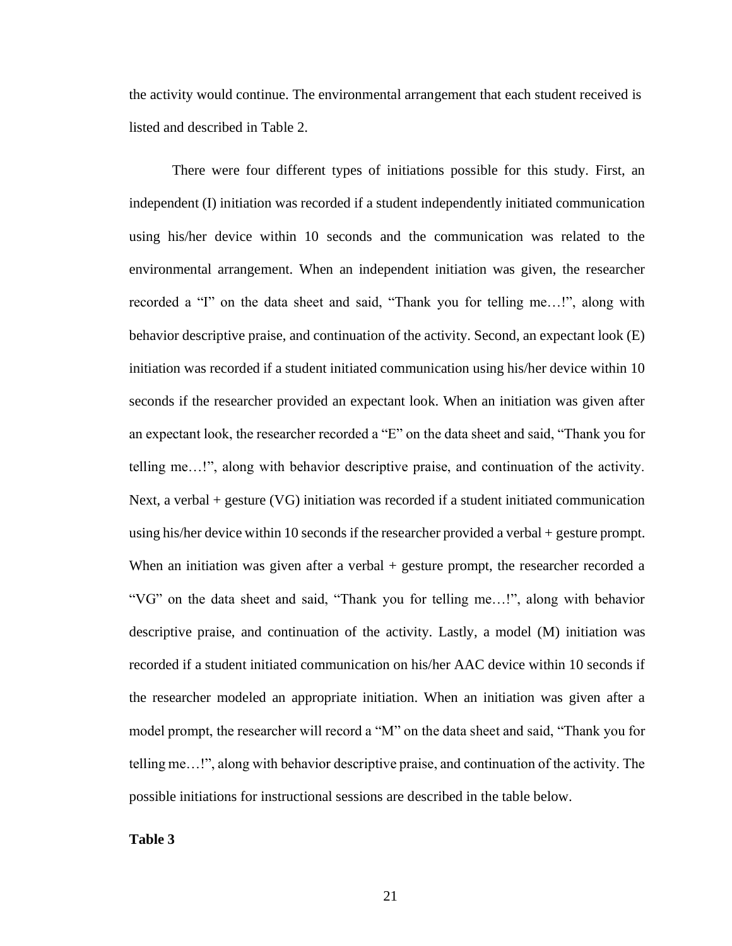the activity would continue. The environmental arrangement that each student received is listed and described in Table 2.

There were four different types of initiations possible for this study. First, an independent (I) initiation was recorded if a student independently initiated communication using his/her device within 10 seconds and the communication was related to the environmental arrangement. When an independent initiation was given, the researcher recorded a "I" on the data sheet and said, "Thank you for telling me…!", along with behavior descriptive praise, and continuation of the activity. Second, an expectant look (E) initiation was recorded if a student initiated communication using his/her device within 10 seconds if the researcher provided an expectant look. When an initiation was given after an expectant look, the researcher recorded a "E" on the data sheet and said, "Thank you for telling me…!", along with behavior descriptive praise, and continuation of the activity. Next, a verbal + gesture (VG) initiation was recorded if a student initiated communication using his/her device within 10 seconds if the researcher provided a verbal + gesture prompt. When an initiation was given after a verbal + gesture prompt, the researcher recorded a "VG" on the data sheet and said, "Thank you for telling me…!", along with behavior descriptive praise, and continuation of the activity. Lastly, a model (M) initiation was recorded if a student initiated communication on his/her AAC device within 10 seconds if the researcher modeled an appropriate initiation. When an initiation was given after a model prompt, the researcher will record a "M" on the data sheet and said, "Thank you for telling me…!", along with behavior descriptive praise, and continuation of the activity. The possible initiations for instructional sessions are described in the table below.

**Table 3**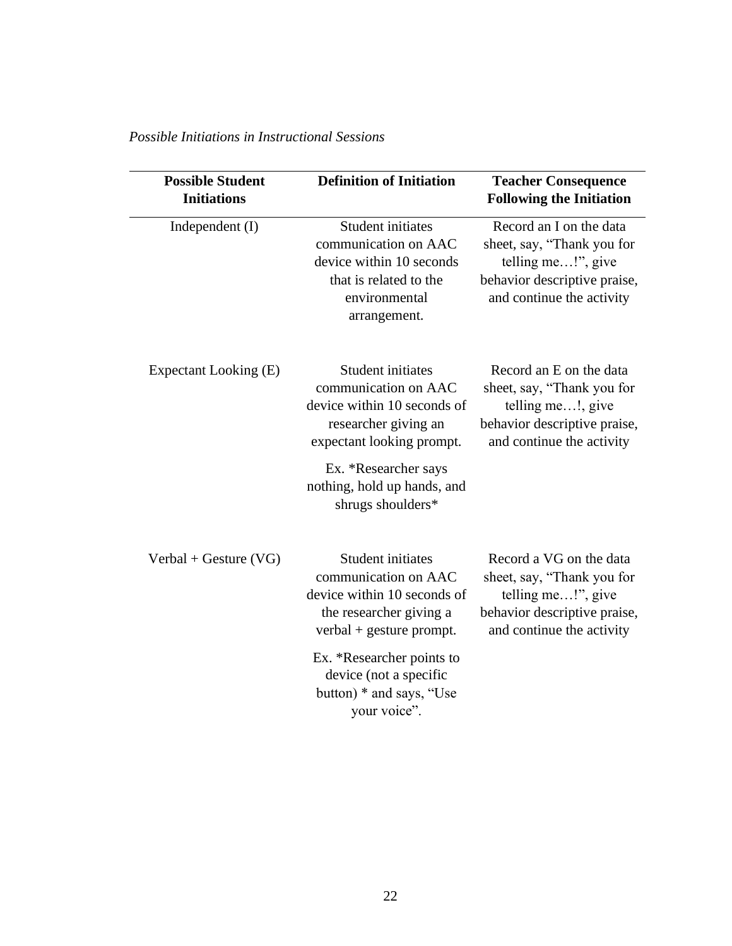| <b>Possible Student</b><br><b>Initiations</b> | <b>Definition of Initiation</b>                                                                                                                                                                           | <b>Teacher Consequence</b><br><b>Following the Initiation</b>                                                                            |
|-----------------------------------------------|-----------------------------------------------------------------------------------------------------------------------------------------------------------------------------------------------------------|------------------------------------------------------------------------------------------------------------------------------------------|
| Independent (I)                               | <b>Student initiates</b><br>communication on AAC<br>device within 10 seconds<br>that is related to the<br>environmental<br>arrangement.                                                                   | Record an I on the data<br>sheet, say, "Thank you for<br>telling me!", give<br>behavior descriptive praise,<br>and continue the activity |
| Expectant Looking (E)                         | Student initiates<br>communication on AAC<br>device within 10 seconds of<br>researcher giving an<br>expectant looking prompt.<br>Ex. *Researcher says<br>nothing, hold up hands, and<br>shrugs shoulders* | Record an E on the data<br>sheet, say, "Thank you for<br>telling me!, give<br>behavior descriptive praise,<br>and continue the activity  |
| $Verbal + Gesture (VG)$                       | <b>Student initiates</b><br>communication on AAC<br>device within 10 seconds of<br>the researcher giving a<br>verbal + gesture prompt.                                                                    | Record a VG on the data<br>sheet, say, "Thank you for<br>telling me!", give<br>behavior descriptive praise,<br>and continue the activity |
|                                               | Ex. *Researcher points to<br>device (not a specific<br>button) * and says, "Use<br>your voice".                                                                                                           |                                                                                                                                          |

*Possible Initiations in Instructional Sessions*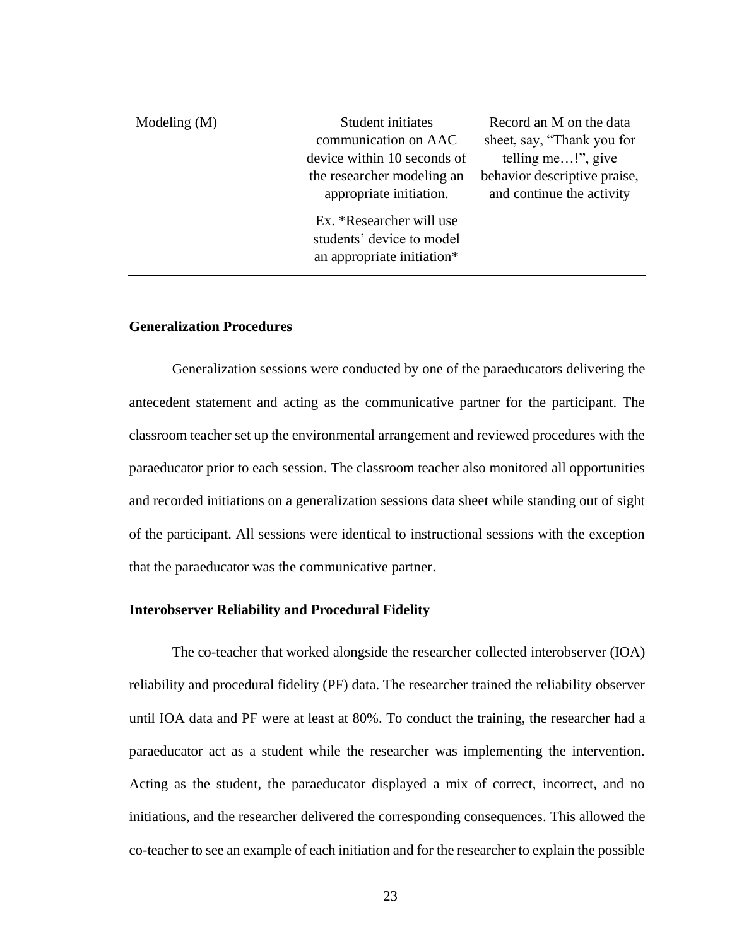| Modeling $(M)$ | Student initiates           | Record an M on the data      |
|----------------|-----------------------------|------------------------------|
|                | communication on AAC        | sheet, say, "Thank you for   |
|                | device within 10 seconds of | telling me!", give           |
|                | the researcher modeling an  | behavior descriptive praise, |
|                | appropriate initiation.     | and continue the activity    |
|                | Ex. *Researcher will use    |                              |
|                | students' device to model   |                              |
|                | an appropriate initiation*  |                              |

#### **Generalization Procedures**

Generalization sessions were conducted by one of the paraeducators delivering the antecedent statement and acting as the communicative partner for the participant. The classroom teacher set up the environmental arrangement and reviewed procedures with the paraeducator prior to each session. The classroom teacher also monitored all opportunities and recorded initiations on a generalization sessions data sheet while standing out of sight of the participant. All sessions were identical to instructional sessions with the exception that the paraeducator was the communicative partner.

#### **Interobserver Reliability and Procedural Fidelity**

The co-teacher that worked alongside the researcher collected interobserver (IOA) reliability and procedural fidelity (PF) data. The researcher trained the reliability observer until IOA data and PF were at least at 80%. To conduct the training, the researcher had a paraeducator act as a student while the researcher was implementing the intervention. Acting as the student, the paraeducator displayed a mix of correct, incorrect, and no initiations, and the researcher delivered the corresponding consequences. This allowed the co-teacher to see an example of each initiation and for the researcher to explain the possible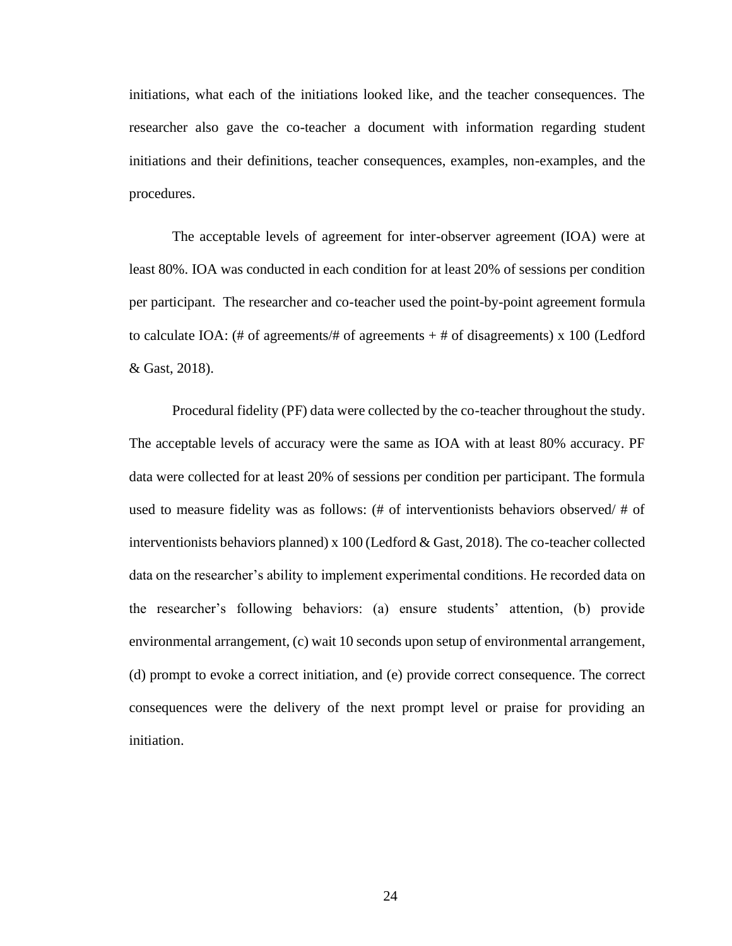initiations, what each of the initiations looked like, and the teacher consequences. The researcher also gave the co-teacher a document with information regarding student initiations and their definitions, teacher consequences, examples, non-examples, and the procedures.

The acceptable levels of agreement for inter-observer agreement (IOA) were at least 80%. IOA was conducted in each condition for at least 20% of sessions per condition per participant. The researcher and co-teacher used the point-by-point agreement formula to calculate IOA: (# of agreements/# of agreements  $+$  # of disagreements) x 100 (Ledford & Gast, 2018).

Procedural fidelity (PF) data were collected by the co-teacher throughout the study. The acceptable levels of accuracy were the same as IOA with at least 80% accuracy. PF data were collected for at least 20% of sessions per condition per participant. The formula used to measure fidelity was as follows: (# of interventionists behaviors observed/ # of interventionists behaviors planned) x 100 (Ledford & Gast, 2018). The co-teacher collected data on the researcher's ability to implement experimental conditions. He recorded data on the researcher's following behaviors: (a) ensure students' attention, (b) provide environmental arrangement, (c) wait 10 seconds upon setup of environmental arrangement, (d) prompt to evoke a correct initiation, and (e) provide correct consequence. The correct consequences were the delivery of the next prompt level or praise for providing an initiation.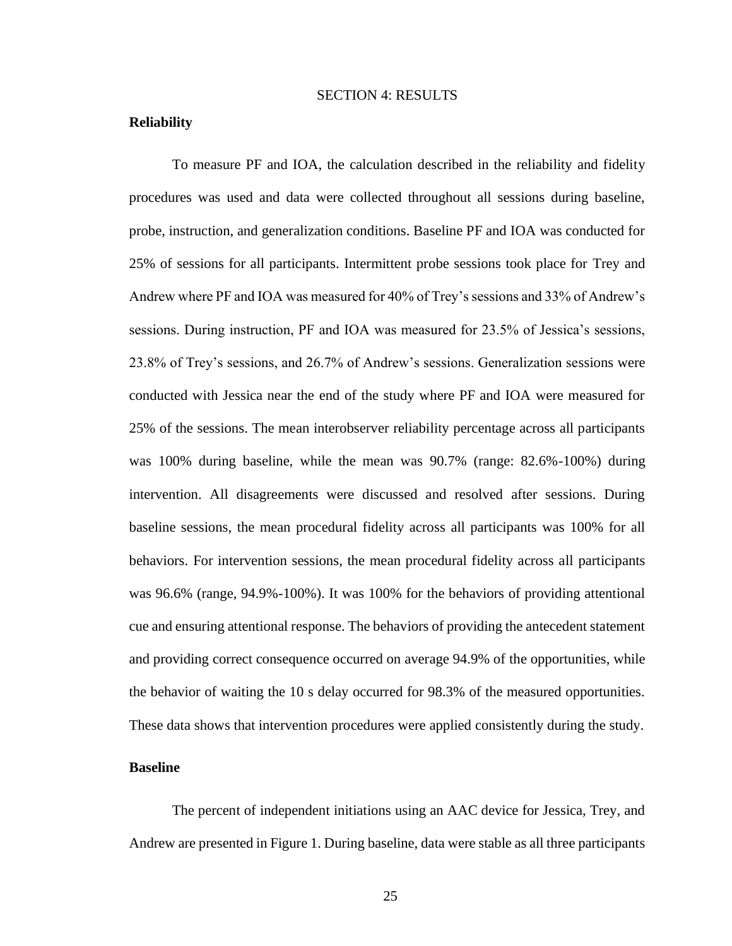#### SECTION 4: RESULTS

#### **Reliability**

To measure PF and IOA, the calculation described in the reliability and fidelity procedures was used and data were collected throughout all sessions during baseline, probe, instruction, and generalization conditions. Baseline PF and IOA was conducted for 25% of sessions for all participants. Intermittent probe sessions took place for Trey and Andrew where PF and IOA was measured for 40% of Trey's sessions and 33% of Andrew's sessions. During instruction, PF and IOA was measured for 23.5% of Jessica's sessions, 23.8% of Trey's sessions, and 26.7% of Andrew's sessions. Generalization sessions were conducted with Jessica near the end of the study where PF and IOA were measured for 25% of the sessions. The mean interobserver reliability percentage across all participants was 100% during baseline, while the mean was 90.7% (range: 82.6%-100%) during intervention. All disagreements were discussed and resolved after sessions. During baseline sessions, the mean procedural fidelity across all participants was 100% for all behaviors. For intervention sessions, the mean procedural fidelity across all participants was 96.6% (range, 94.9%-100%). It was 100% for the behaviors of providing attentional cue and ensuring attentional response. The behaviors of providing the antecedent statement and providing correct consequence occurred on average 94.9% of the opportunities, while the behavior of waiting the 10 s delay occurred for 98.3% of the measured opportunities. These data shows that intervention procedures were applied consistently during the study.

## **Baseline**

The percent of independent initiations using an AAC device for Jessica, Trey, and Andrew are presented in Figure 1. During baseline, data were stable as all three participants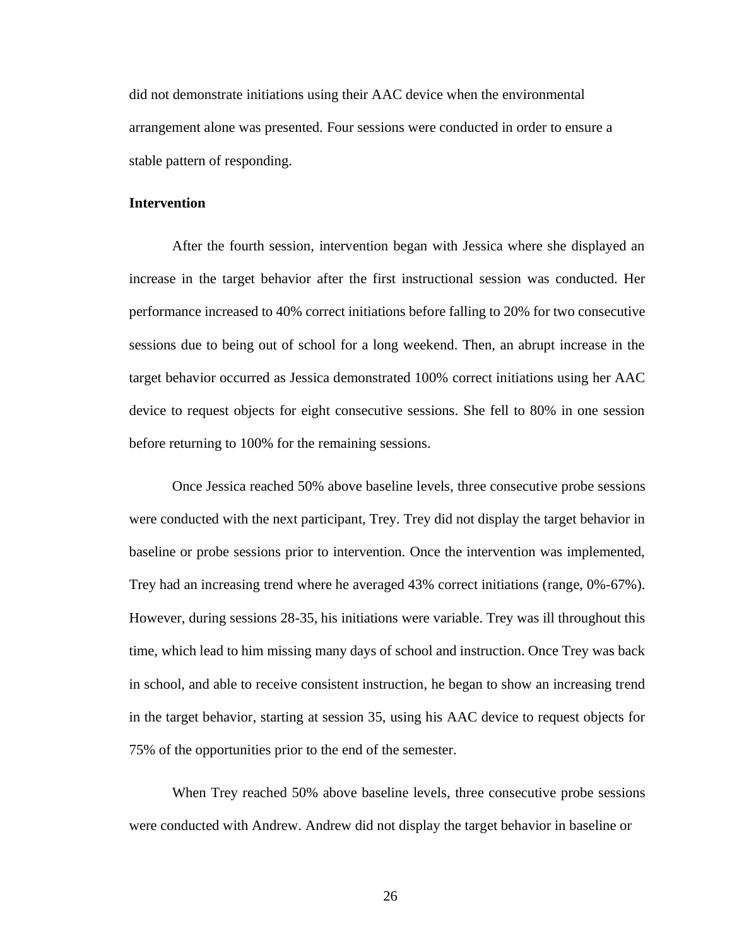did not demonstrate initiations using their AAC device when the environmental arrangement alone was presented. Four sessions were conducted in order to ensure a stable pattern of responding.

#### **Intervention**

After the fourth session, intervention began with Jessica where she displayed an increase in the target behavior after the first instructional session was conducted. Her performance increased to 40% correct initiations before falling to 20% for two consecutive sessions due to being out of school for a long weekend. Then, an abrupt increase in the target behavior occurred as Jessica demonstrated 100% correct initiations using her AAC device to request objects for eight consecutive sessions. She fell to 80% in one session before returning to 100% for the remaining sessions.

Once Jessica reached 50% above baseline levels, three consecutive probe sessions were conducted with the next participant, Trey. Trey did not display the target behavior in baseline or probe sessions prior to intervention. Once the intervention was implemented, Trey had an increasing trend where he averaged 43% correct initiations (range, 0%-67%). However, during sessions 28-35, his initiations were variable. Trey was ill throughout this time, which lead to him missing many days of school and instruction. Once Trey was back in school, and able to receive consistent instruction, he began to show an increasing trend in the target behavior, starting at session 35, using his AAC device to request objects for 75% of the opportunities prior to the end of the semester.

When Trey reached 50% above baseline levels, three consecutive probe sessions were conducted with Andrew. Andrew did not display the target behavior in baseline or

26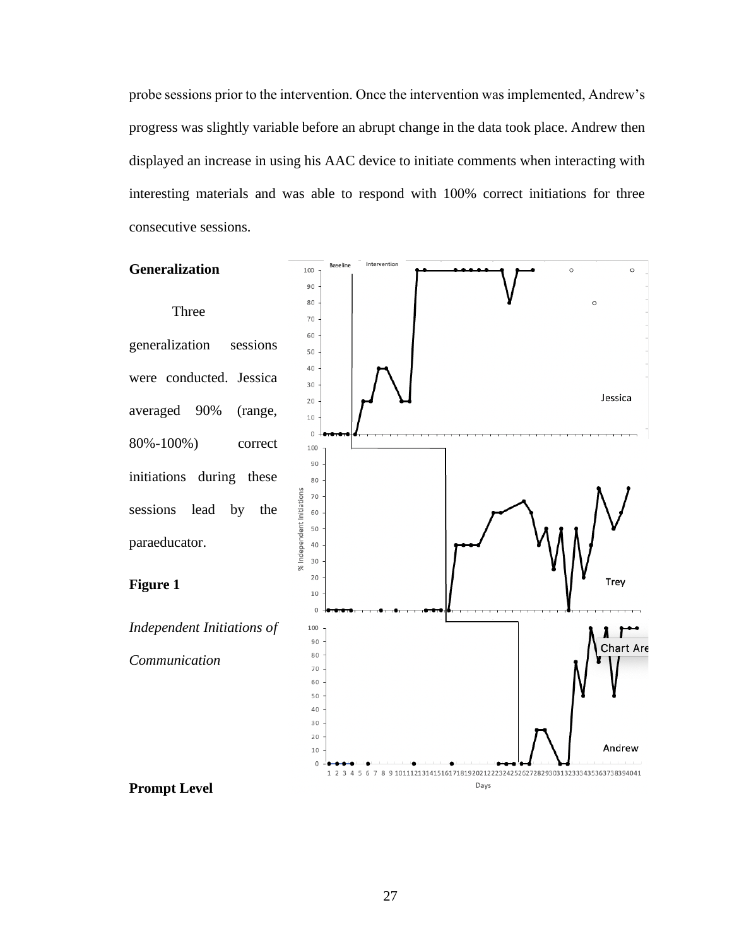probe sessions prior to the intervention. Once the intervention was implemented, Andrew's progress was slightly variable before an abrupt change in the data took place. Andrew then displayed an increase in using his AAC device to initiate comments when interacting with interesting materials and was able to respond with 100% correct initiations for three consecutive sessions.

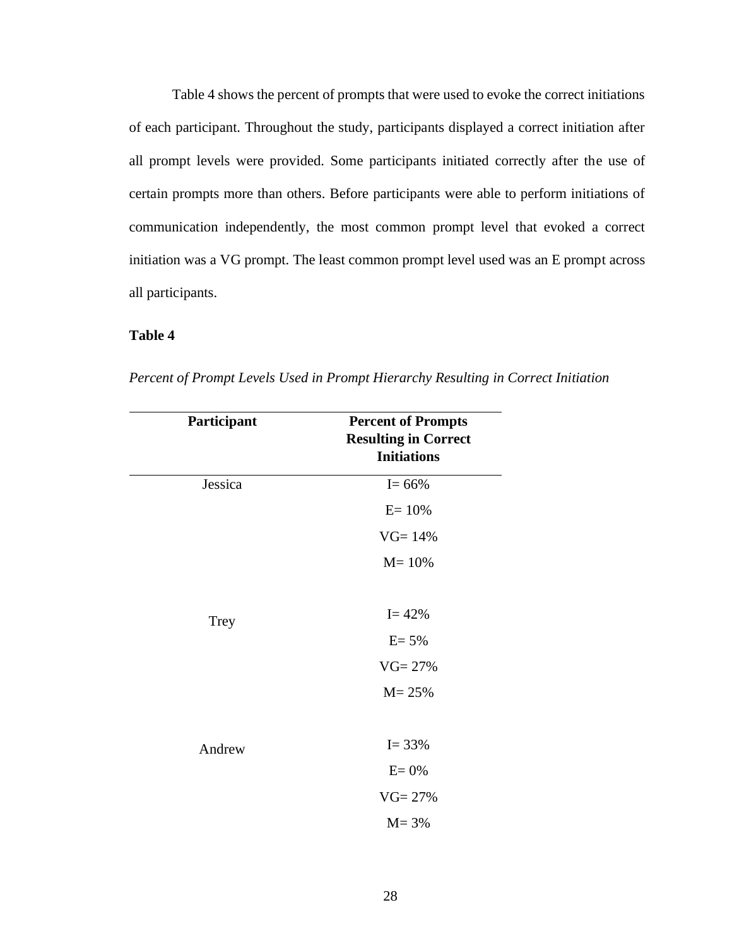Table 4 shows the percent of prompts that were used to evoke the correct initiations of each participant. Throughout the study, participants displayed a correct initiation after all prompt levels were provided. Some participants initiated correctly after the use of certain prompts more than others. Before participants were able to perform initiations of communication independently, the most common prompt level that evoked a correct initiation was a VG prompt. The least common prompt level used was an E prompt across all participants.

# **Table 4**

| Participant | <b>Percent of Prompts</b><br><b>Resulting in Correct</b><br><b>Initiations</b> |
|-------------|--------------------------------------------------------------------------------|
| Jessica     | $I = 66\%$                                                                     |
|             | $E = 10%$                                                                      |
|             | $VG = 14%$                                                                     |
|             | $M = 10%$                                                                      |
|             |                                                                                |
| <b>Trey</b> | $I = 42%$                                                                      |
|             | $E = 5%$                                                                       |
|             | $VG = 27%$                                                                     |
|             | $M = 25%$                                                                      |
|             |                                                                                |
| Andrew      | $I = 33%$                                                                      |
|             | $E = 0%$                                                                       |
|             | $VG = 27%$                                                                     |
|             | $M = 3%$                                                                       |

*Percent of Prompt Levels Used in Prompt Hierarchy Resulting in Correct Initiation*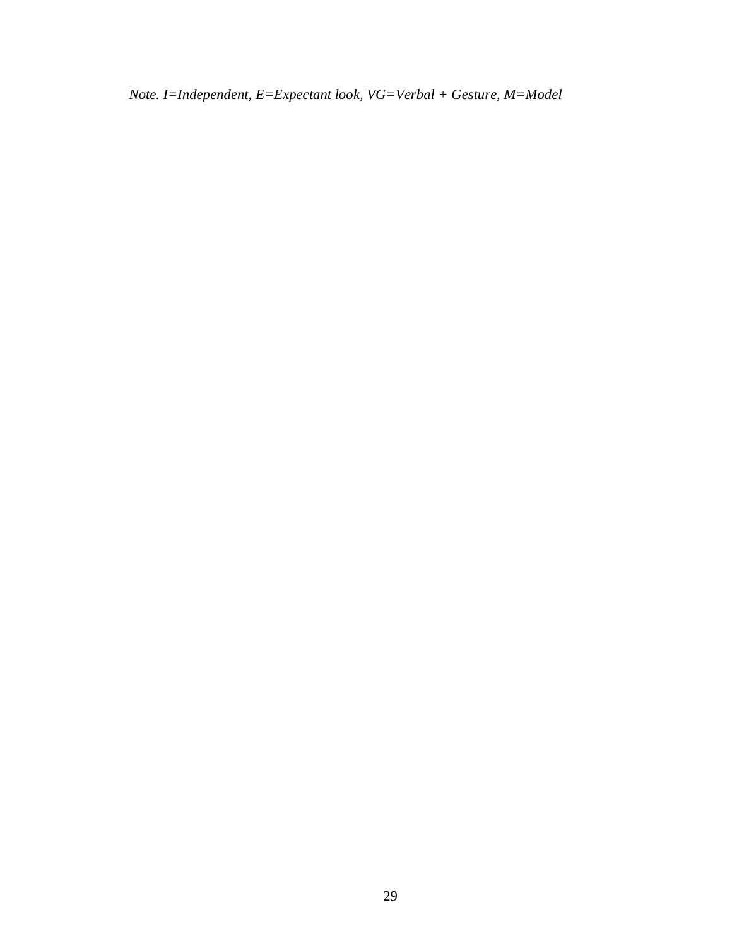*Note. I=Independent, E=Expectant look, VG=Verbal + Gesture, M=Model*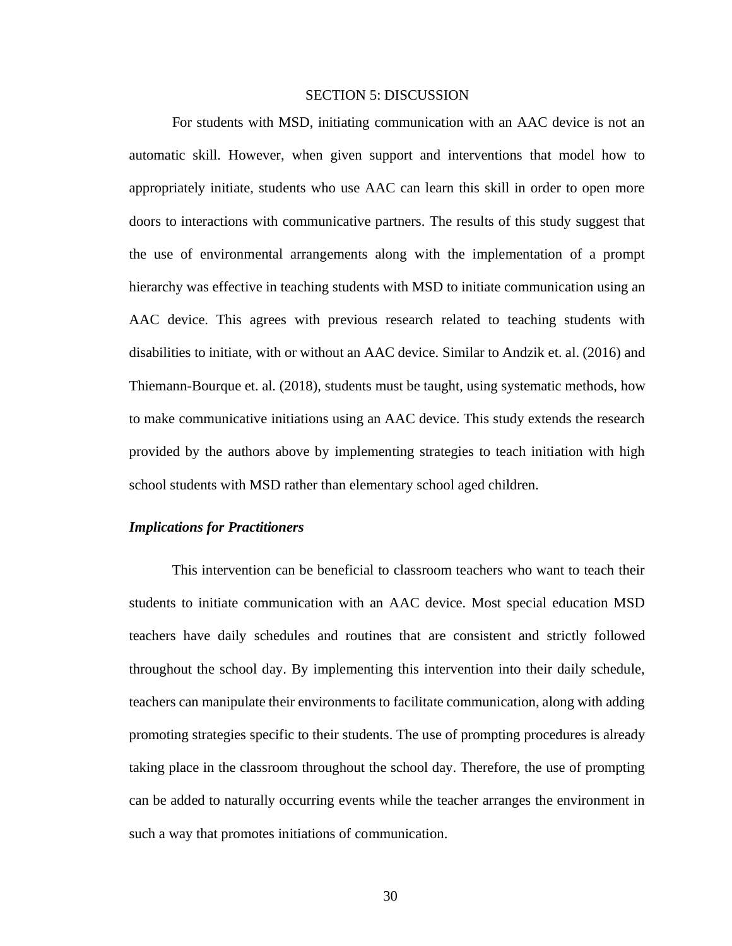#### SECTION 5: DISCUSSION

For students with MSD, initiating communication with an AAC device is not an automatic skill. However, when given support and interventions that model how to appropriately initiate, students who use AAC can learn this skill in order to open more doors to interactions with communicative partners. The results of this study suggest that the use of environmental arrangements along with the implementation of a prompt hierarchy was effective in teaching students with MSD to initiate communication using an AAC device. This agrees with previous research related to teaching students with disabilities to initiate, with or without an AAC device. Similar to Andzik et. al. (2016) and Thiemann-Bourque et. al. (2018), students must be taught, using systematic methods, how to make communicative initiations using an AAC device. This study extends the research provided by the authors above by implementing strategies to teach initiation with high school students with MSD rather than elementary school aged children.

#### *Implications for Practitioners*

This intervention can be beneficial to classroom teachers who want to teach their students to initiate communication with an AAC device. Most special education MSD teachers have daily schedules and routines that are consistent and strictly followed throughout the school day. By implementing this intervention into their daily schedule, teachers can manipulate their environments to facilitate communication, along with adding promoting strategies specific to their students. The use of prompting procedures is already taking place in the classroom throughout the school day. Therefore, the use of prompting can be added to naturally occurring events while the teacher arranges the environment in such a way that promotes initiations of communication.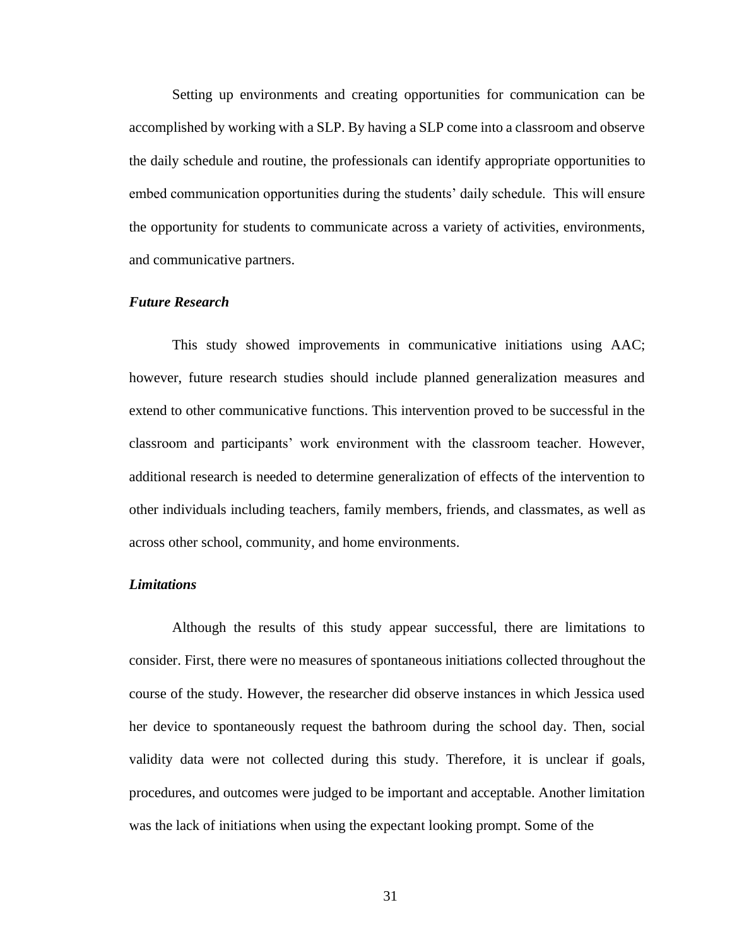Setting up environments and creating opportunities for communication can be accomplished by working with a SLP. By having a SLP come into a classroom and observe the daily schedule and routine, the professionals can identify appropriate opportunities to embed communication opportunities during the students' daily schedule. This will ensure the opportunity for students to communicate across a variety of activities, environments, and communicative partners.

### *Future Research*

This study showed improvements in communicative initiations using AAC; however, future research studies should include planned generalization measures and extend to other communicative functions. This intervention proved to be successful in the classroom and participants' work environment with the classroom teacher. However, additional research is needed to determine generalization of effects of the intervention to other individuals including teachers, family members, friends, and classmates, as well as across other school, community, and home environments.

## *Limitations*

Although the results of this study appear successful, there are limitations to consider. First, there were no measures of spontaneous initiations collected throughout the course of the study. However, the researcher did observe instances in which Jessica used her device to spontaneously request the bathroom during the school day. Then, social validity data were not collected during this study. Therefore, it is unclear if goals, procedures, and outcomes were judged to be important and acceptable. Another limitation was the lack of initiations when using the expectant looking prompt. Some of the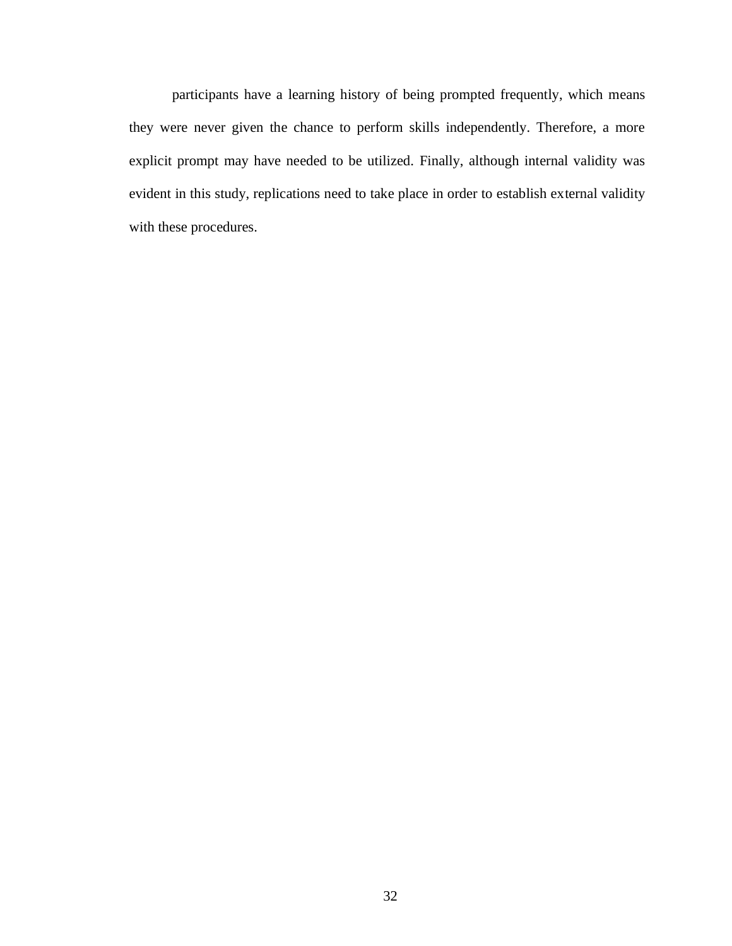participants have a learning history of being prompted frequently, which means they were never given the chance to perform skills independently. Therefore, a more explicit prompt may have needed to be utilized. Finally, although internal validity was evident in this study, replications need to take place in order to establish external validity with these procedures.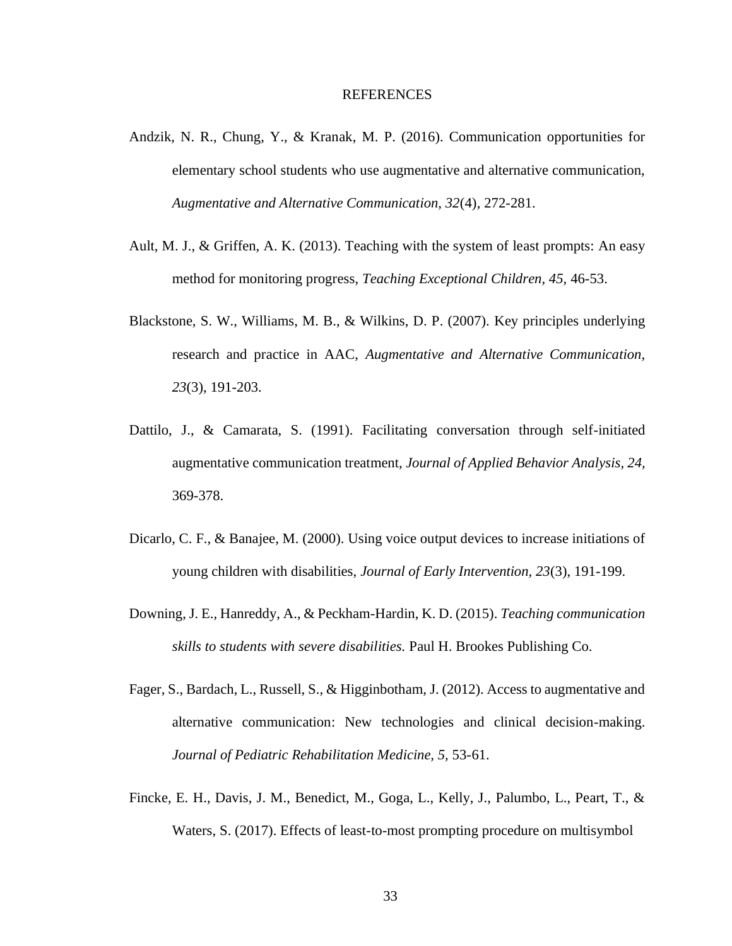- Andzik, N. R., Chung, Y., & Kranak, M. P. (2016). Communication opportunities for elementary school students who use augmentative and alternative communication, *Augmentative and Alternative Communication, 32*(4), 272-281.
- Ault, M. J., & Griffen, A. K. (2013). Teaching with the system of least prompts: An easy method for monitoring progress, *Teaching Exceptional Children, 45,* 46-53.
- Blackstone, S. W., Williams, M. B., & Wilkins, D. P. (2007). Key principles underlying research and practice in AAC, *Augmentative and Alternative Communication, 23*(3), 191-203.
- Dattilo, J., & Camarata, S. (1991). Facilitating conversation through self-initiated augmentative communication treatment, *Journal of Applied Behavior Analysis, 24,*  369-378.
- Dicarlo, C. F., & Banajee, M. (2000). Using voice output devices to increase initiations of young children with disabilities, *Journal of Early Intervention, 23*(3), 191-199.
- Downing, J. E., Hanreddy, A., & Peckham-Hardin, K. D. (2015). *Teaching communication skills to students with severe disabilities.* Paul H. Brookes Publishing Co.
- Fager, S., Bardach, L., Russell, S., & Higginbotham, J. (2012). Access to augmentative and alternative communication: New technologies and clinical decision-making. *Journal of Pediatric Rehabilitation Medicine, 5,* 53-61.
- Fincke, E. H., Davis, J. M., Benedict, M., Goga, L., Kelly, J., Palumbo, L., Peart, T., & Waters, S. (2017). Effects of least-to-most prompting procedure on multisymbol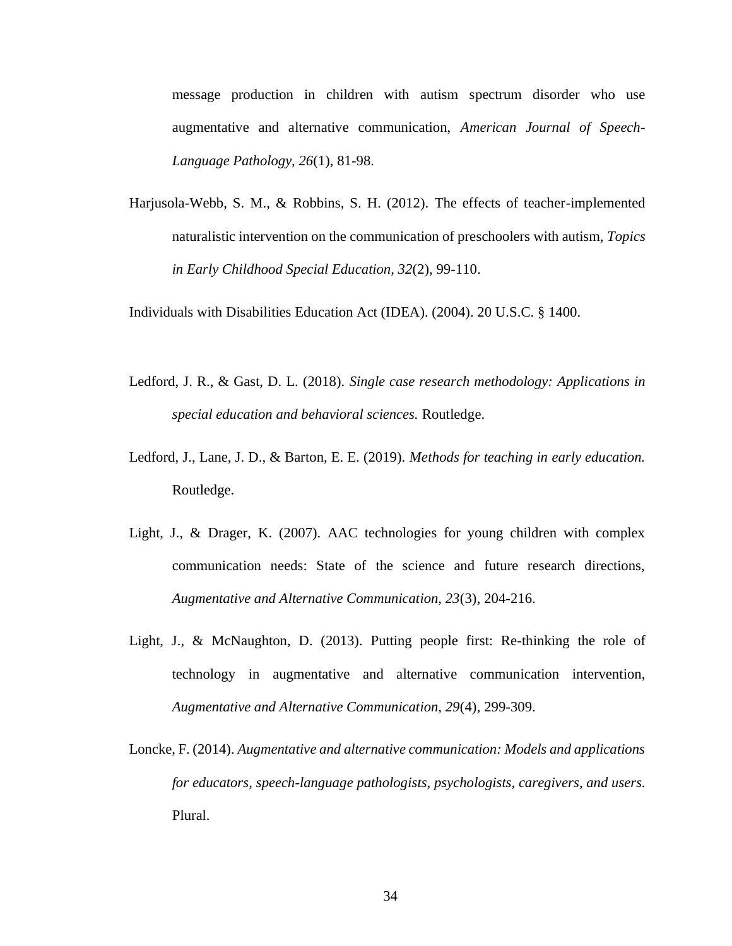message production in children with autism spectrum disorder who use augmentative and alternative communication, *American Journal of Speech-Language Pathology, 26*(1), 81-98.

Harjusola-Webb, S. M., & Robbins, S. H. (2012). The effects of teacher-implemented naturalistic intervention on the communication of preschoolers with autism, *Topics in Early Childhood Special Education, 32*(2), 99-110.

Individuals with Disabilities Education Act (IDEA). (2004). 20 U.S.C. § 1400.

- Ledford, J. R., & Gast, D. L. (2018). *Single case research methodology: Applications in special education and behavioral sciences.* Routledge.
- Ledford, J., Lane, J. D., & Barton, E. E. (2019). *Methods for teaching in early education.*  Routledge.
- Light, J., & Drager, K. (2007). AAC technologies for young children with complex communication needs: State of the science and future research directions, *Augmentative and Alternative Communication, 23*(3), 204-216.
- Light, J., & McNaughton, D. (2013). Putting people first: Re-thinking the role of technology in augmentative and alternative communication intervention, *Augmentative and Alternative Communication, 29*(4), 299-309.
- Loncke, F. (2014). *Augmentative and alternative communication: Models and applications for educators, speech-language pathologists, psychologists, caregivers, and users.*  Plural.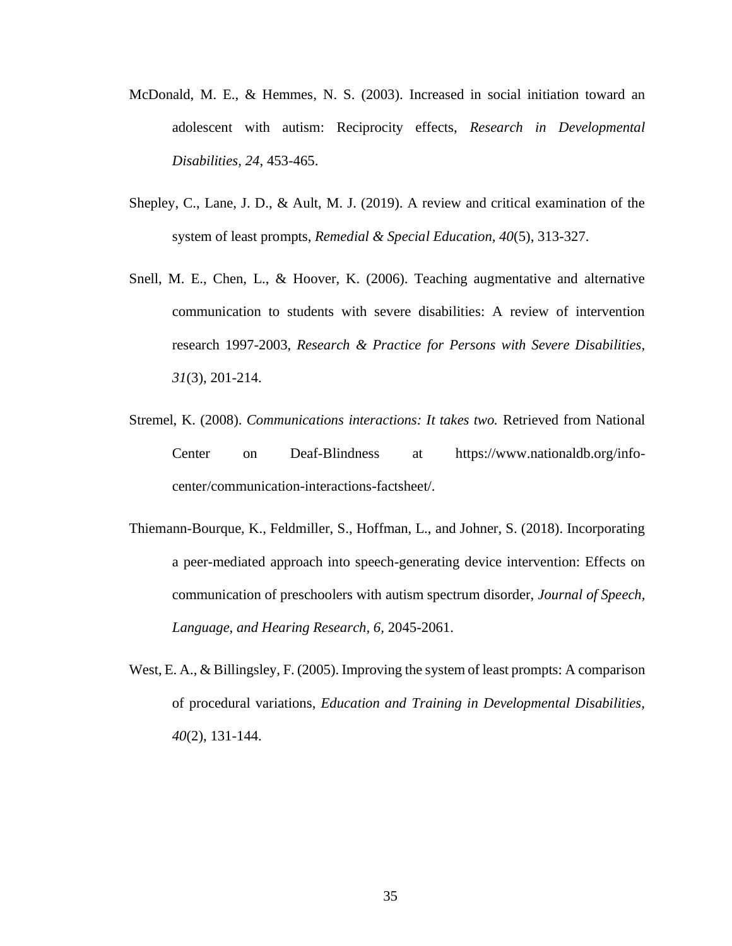- McDonald, M. E., & Hemmes, N. S. (2003). Increased in social initiation toward an adolescent with autism: Reciprocity effects, *Research in Developmental Disabilities, 24*, 453-465.
- Shepley, C., Lane, J. D., & Ault, M. J. (2019). A review and critical examination of the system of least prompts, *Remedial & Special Education, 40*(5), 313-327.
- Snell, M. E., Chen, L., & Hoover, K. (2006). Teaching augmentative and alternative communication to students with severe disabilities: A review of intervention research 1997-2003, *Research & Practice for Persons with Severe Disabilities, 31*(3), 201-214.
- Stremel, K. (2008). *Communications interactions: It takes two.* Retrieved from National Center on Deaf-Blindness at https://www.nationaldb.org/infocenter/communication-interactions-factsheet/.
- Thiemann-Bourque, K., Feldmiller, S., Hoffman, L., and Johner, S. (2018). Incorporating a peer-mediated approach into speech-generating device intervention: Effects on communication of preschoolers with autism spectrum disorder, *Journal of Speech, Language, and Hearing Research, 6,* 2045-2061.
- West, E. A., & Billingsley, F. (2005). Improving the system of least prompts: A comparison of procedural variations, *Education and Training in Developmental Disabilities, 40*(2), 131-144.